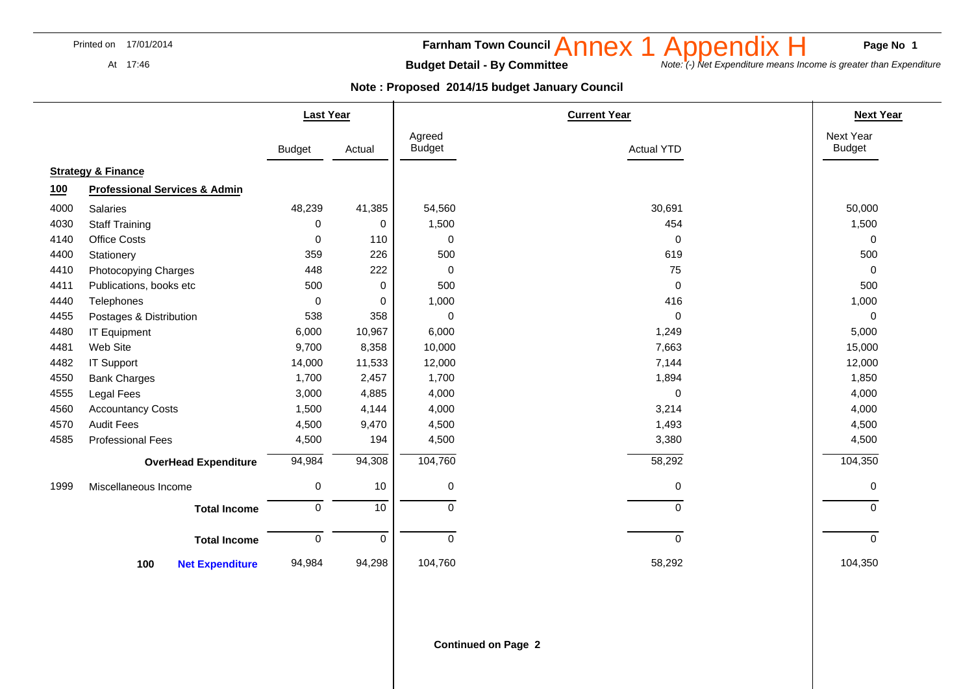At 17:46

### **Farnham Town Council Anney 1 Annendly H** Page No 1

Annex 1 Appendix H<br>
Note: (-) Net Expenditure means Income is greater than Expenditure

**Budget Detail - By Committee** 

|      |                                          | <b>Last Year</b> |             | <b>Current Year</b>     |                   | <b>Next Year</b>           |
|------|------------------------------------------|------------------|-------------|-------------------------|-------------------|----------------------------|
|      |                                          | <b>Budget</b>    | Actual      | Agreed<br><b>Budget</b> | <b>Actual YTD</b> | Next Year<br><b>Budget</b> |
|      | <b>Strategy &amp; Finance</b>            |                  |             |                         |                   |                            |
| 100  | <b>Professional Services &amp; Admin</b> |                  |             |                         |                   |                            |
| 4000 | Salaries                                 | 48,239           | 41,385      | 54,560                  | 30,691            | 50,000                     |
| 4030 | <b>Staff Training</b>                    | 0                | 0           | 1,500                   | 454               | 1,500                      |
| 4140 | <b>Office Costs</b>                      | $\mathbf 0$      | 110         | 0                       | $\mathbf 0$       | $\mathbf 0$                |
| 4400 | Stationery                               | 359              | 226         | 500                     | 619               | 500                        |
| 4410 | Photocopying Charges                     | 448              | 222         | 0                       | 75                | $\Omega$                   |
| 4411 | Publications, books etc                  | 500              | 0           | 500                     | 0                 | 500                        |
| 4440 | Telephones                               | 0                | 0           | 1,000                   | 416               | 1,000                      |
| 4455 | Postages & Distribution                  | 538              | 358         | 0                       | 0                 | $\mathbf 0$                |
| 4480 | <b>IT Equipment</b>                      | 6,000            | 10,967      | 6,000                   | 1,249             | 5,000                      |
| 4481 | Web Site                                 | 9,700            | 8,358       | 10,000                  | 7,663             | 15,000                     |
| 4482 | <b>IT Support</b>                        | 14,000           | 11,533      | 12,000                  | 7,144             | 12,000                     |
| 4550 | <b>Bank Charges</b>                      | 1,700            | 2,457       | 1,700                   | 1,894             | 1,850                      |
| 4555 | Legal Fees                               | 3,000            | 4,885       | 4,000                   | $\mathbf 0$       | 4,000                      |
| 4560 | <b>Accountancy Costs</b>                 | 1,500            | 4,144       | 4,000                   | 3,214             | 4,000                      |
| 4570 | <b>Audit Fees</b>                        | 4,500            | 9,470       | 4,500                   | 1,493             | 4,500                      |
| 4585 | <b>Professional Fees</b>                 | 4,500            | 194         | 4,500                   | 3,380             | 4,500                      |
|      | <b>OverHead Expenditure</b>              | 94,984           | 94,308      | 104,760                 | 58,292            | 104,350                    |
| 1999 | Miscellaneous Income                     | $\mathbf 0$      | 10          | 0                       | $\pmb{0}$         | $\mathbf 0$                |
|      | <b>Total Income</b>                      | $\mathbf 0$      | 10          | $\Omega$                | $\Omega$          | $\Omega$                   |
|      | <b>Total Income</b>                      | $\mathbf 0$      | $\mathbf 0$ | $\Omega$                | $\mathbf 0$       | $\Omega$                   |
|      | <b>Net Expenditure</b><br>100            | 94,984           | 94,298      | 104,760                 | 58,292            | 104,350                    |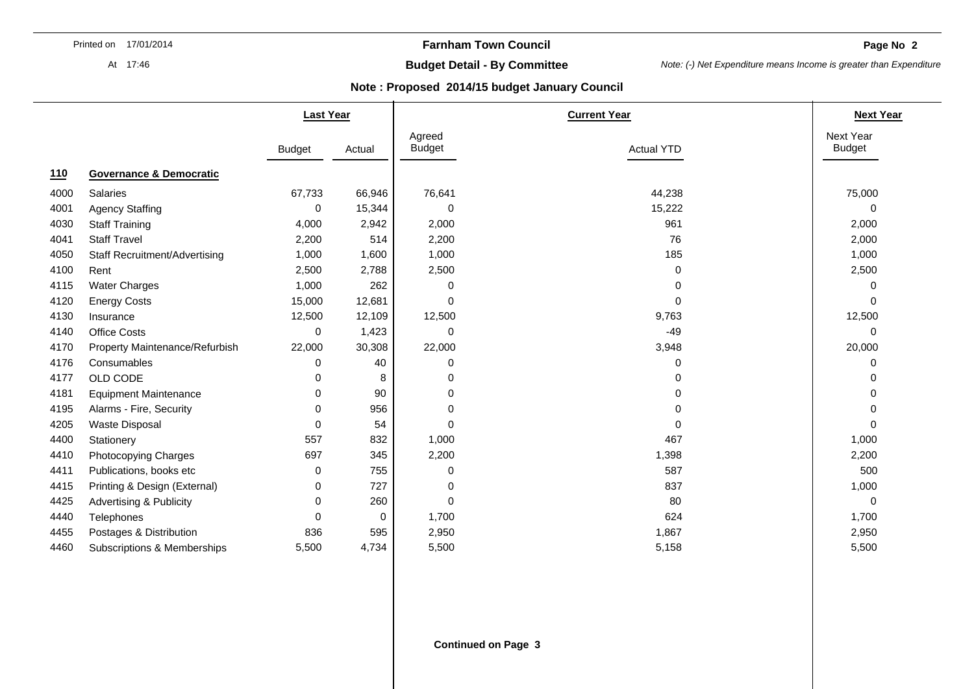At 17:46

## **Farnham Town Council**

**Page No 2** 

# **Budget Detail - By Committee**

*Note: (-) Net Expenditure means Income is greater than Expenditure* 

|      |                                    | <b>Last Year</b> |        |                         | <b>Next Year</b>  |                            |
|------|------------------------------------|------------------|--------|-------------------------|-------------------|----------------------------|
|      |                                    | <b>Budget</b>    | Actual | Agreed<br><b>Budget</b> | <b>Actual YTD</b> | Next Year<br><b>Budget</b> |
| 110  | <b>Governance &amp; Democratic</b> |                  |        |                         |                   |                            |
| 4000 | <b>Salaries</b>                    | 67,733           | 66,946 | 76,641                  | 44,238            | 75,000                     |
| 4001 | <b>Agency Staffing</b>             | $\Omega$         | 15,344 | 0                       | 15,222            | $\Omega$                   |
| 4030 | <b>Staff Training</b>              | 4,000            | 2,942  | 2,000                   | 961               | 2,000                      |
| 4041 | <b>Staff Travel</b>                | 2,200            | 514    | 2,200                   | 76                | 2,000                      |
| 4050 | Staff Recruitment/Advertising      | 1,000            | 1,600  | 1,000                   | 185               | 1,000                      |
| 4100 | Rent                               | 2,500            | 2,788  | 2,500                   | 0                 | 2,500                      |
| 4115 | <b>Water Charges</b>               | 1,000            | 262    | 0                       | 0                 | 0                          |
| 4120 | <b>Energy Costs</b>                | 15,000           | 12,681 | 0                       | 0                 | $\Omega$                   |
| 4130 | Insurance                          | 12,500           | 12,109 | 12,500                  | 9,763             | 12,500                     |
| 4140 | Office Costs                       | 0                | 1,423  | 0                       | $-49$             | 0                          |
| 4170 | Property Maintenance/Refurbish     | 22,000           | 30,308 | 22,000                  | 3,948             | 20,000                     |
| 4176 | Consumables                        | $\Omega$         | 40     | 0                       | 0                 | 0                          |
| 4177 | OLD CODE                           | $\Omega$         | 8      | 0                       | 0                 | $\Omega$                   |
| 4181 | <b>Equipment Maintenance</b>       | 0                | 90     | 0                       | 0                 | 0                          |
| 4195 | Alarms - Fire, Security            | 0                | 956    | 0                       | 0                 | 0                          |
| 4205 | <b>Waste Disposal</b>              | $\Omega$         | 54     | 0                       | 0                 | $\Omega$                   |
| 4400 | Stationery                         | 557              | 832    | 1,000                   | 467               | 1,000                      |
| 4410 | Photocopying Charges               | 697              | 345    | 2,200                   | 1,398             | 2,200                      |
| 4411 | Publications, books etc            | 0                | 755    | 0                       | 587               | 500                        |
| 4415 | Printing & Design (External)       | $\Omega$         | 727    | 0                       | 837               | 1,000                      |
| 4425 | <b>Advertising &amp; Publicity</b> | 0                | 260    | 0                       | 80                | $\mathbf 0$                |
| 4440 | Telephones                         | $\Omega$         | 0      | 1,700                   | 624               | 1,700                      |
| 4455 | Postages & Distribution            | 836              | 595    | 2,950                   | 1,867             | 2,950                      |
| 4460 | Subscriptions & Memberships        | 5,500            | 4,734  | 5,500                   | 5,158             | 5,500                      |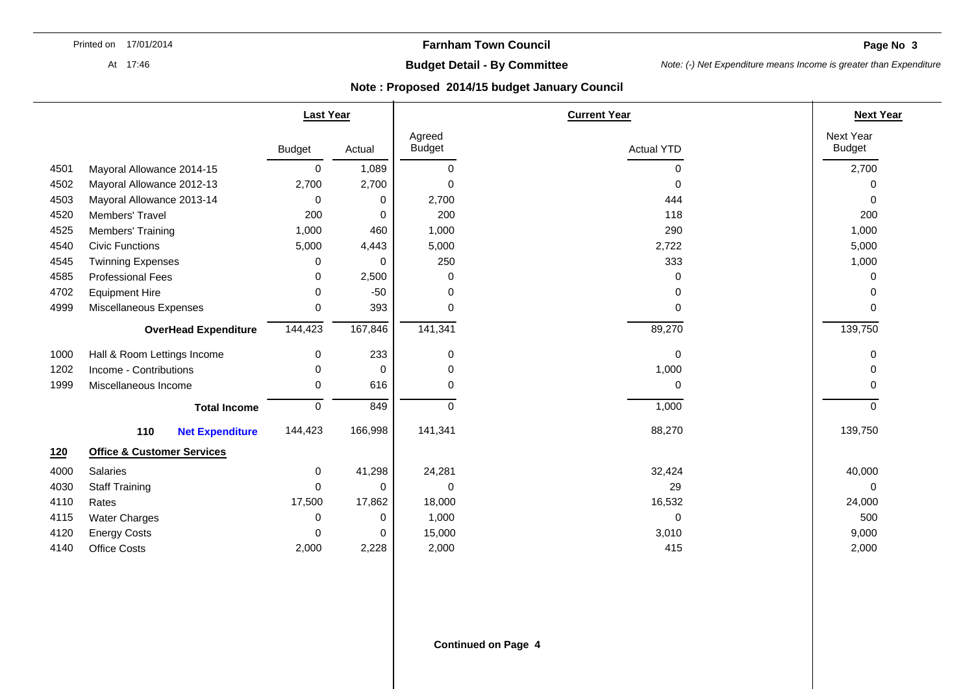**Page No. 3 3** 

At 17:46

# **Budget Detail - By Committee**

*Note: (-) Net Expenditure means Income is greater than Expenditure* 

|      |                                       | <b>Last Year</b> |         |                         | <b>Current Year</b> |                            |  |
|------|---------------------------------------|------------------|---------|-------------------------|---------------------|----------------------------|--|
|      |                                       | <b>Budget</b>    | Actual  | Agreed<br><b>Budget</b> | <b>Actual YTD</b>   | Next Year<br><b>Budget</b> |  |
| 4501 | Mayoral Allowance 2014-15             | 0                | 1,089   | 0                       | 0                   | 2,700                      |  |
| 4502 | Mayoral Allowance 2012-13             | 2,700            | 2,700   | 0                       | 0                   | 0                          |  |
| 4503 | Mayoral Allowance 2013-14             | 0                | 0       | 2,700                   | 444                 | $\Omega$                   |  |
| 4520 | Members' Travel                       | 200              | 0       | 200                     | 118                 | 200                        |  |
| 4525 | Members' Training                     | 1,000            | 460     | 1,000                   | 290                 | 1,000                      |  |
| 4540 | <b>Civic Functions</b>                | 5,000            | 4,443   | 5,000                   | 2,722               | 5,000                      |  |
| 4545 | <b>Twinning Expenses</b>              | 0                | 0       | 250                     | 333                 | 1,000                      |  |
| 4585 | <b>Professional Fees</b>              | 0                | 2,500   | 0                       | 0                   | 0                          |  |
| 4702 | <b>Equipment Hire</b>                 | 0                | $-50$   | 0                       | 0                   | 0                          |  |
| 4999 | Miscellaneous Expenses                | 0                | 393     | 0                       | 0                   | $\Omega$                   |  |
|      | <b>OverHead Expenditure</b>           | 144,423          | 167,846 | 141,341                 | 89,270              | 139,750                    |  |
| 1000 | Hall & Room Lettings Income           | 0                | 233     | 0                       | $\mathbf 0$         | 0                          |  |
| 1202 | Income - Contributions                | 0                | 0       | 0                       | 1,000               | 0                          |  |
| 1999 | Miscellaneous Income                  | $\Omega$         | 616     | 0                       | 0                   | O                          |  |
|      | <b>Total Income</b>                   | $\mathbf 0$      | 849     | 0                       | 1,000               | 0                          |  |
|      | 110<br><b>Net Expenditure</b>         | 144,423          | 166,998 | 141,341                 | 88,270              | 139,750                    |  |
| 120  | <b>Office &amp; Customer Services</b> |                  |         |                         |                     |                            |  |
| 4000 | Salaries                              | 0                | 41,298  | 24,281                  | 32,424              | 40,000                     |  |
| 4030 | <b>Staff Training</b>                 | $\Omega$         | 0       | 0                       | 29                  | $\Omega$                   |  |
| 4110 | Rates                                 | 17,500           | 17,862  | 18,000                  | 16,532              | 24,000                     |  |
| 4115 | <b>Water Charges</b>                  | 0                | 0       | 1,000                   | $\mathbf 0$         | 500                        |  |
| 4120 | <b>Energy Costs</b>                   | $\Omega$         | 0       | 15,000                  | 3,010               | 9,000                      |  |
| 4140 | <b>Office Costs</b>                   | 2,000            | 2,228   | 2,000                   | 415                 | 2,000                      |  |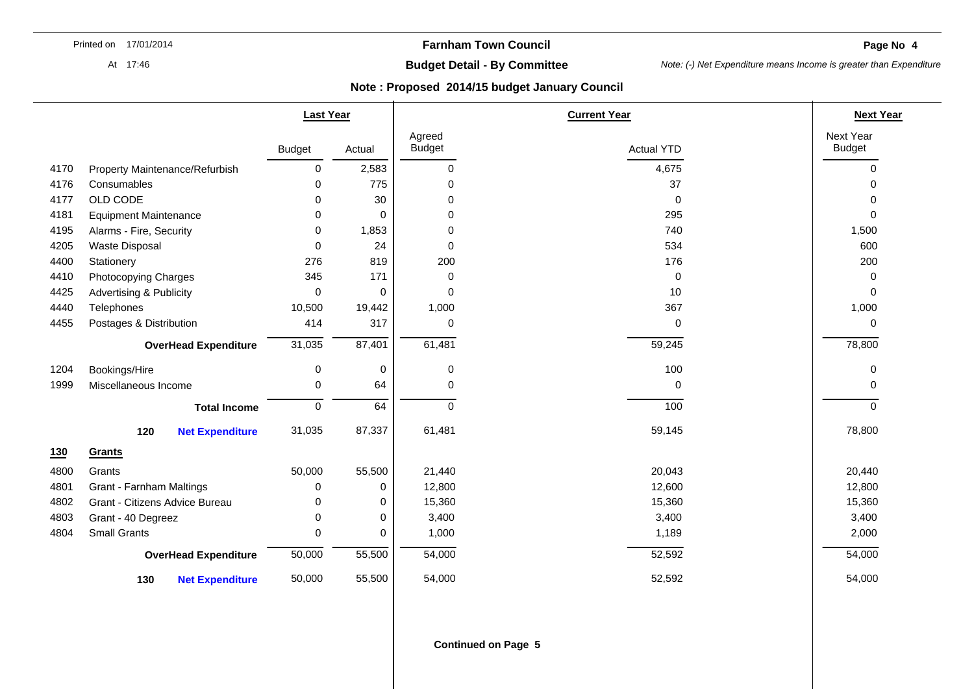**Page No 4** 

At 17:46

# **Budget Detail - By Committee**

*Note: (-) Net Expenditure means Income is greater than Expenditure* 

|      |                                    | <b>Last Year</b> |             |                         | <b>Current Year</b> |                            |  |
|------|------------------------------------|------------------|-------------|-------------------------|---------------------|----------------------------|--|
|      |                                    | <b>Budget</b>    | Actual      | Agreed<br><b>Budget</b> | <b>Actual YTD</b>   | Next Year<br><b>Budget</b> |  |
| 4170 | Property Maintenance/Refurbish     | 0                | 2,583       | 0                       | 4,675               | $\mathbf 0$                |  |
| 4176 | Consumables                        | $\Omega$         | 775         | 0                       | 37                  | $\Omega$                   |  |
| 4177 | OLD CODE                           | $\Omega$         | 30          | 0                       | 0                   | $\Omega$                   |  |
| 4181 | <b>Equipment Maintenance</b>       | 0                | 0           | 0                       | 295                 | $\mathbf 0$                |  |
| 4195 | Alarms - Fire, Security            | 0                | 1,853       | $\Omega$                | 740                 | 1,500                      |  |
| 4205 | Waste Disposal                     | 0                | 24          | 0                       | 534                 | 600                        |  |
| 4400 | Stationery                         | 276              | 819         | 200                     | 176                 | 200                        |  |
| 4410 | Photocopying Charges               | 345              | 171         | 0                       | 0                   | 0                          |  |
| 4425 | <b>Advertising &amp; Publicity</b> | 0                | 0           | 0                       | 10                  | 0                          |  |
| 4440 | Telephones                         | 10,500           | 19,442      | 1,000                   | 367                 | 1,000                      |  |
| 4455 | Postages & Distribution            | 414              | 317         | 0                       | 0                   | 0                          |  |
|      | <b>OverHead Expenditure</b>        | 31,035           | 87,401      | 61,481                  | 59,245              | 78,800                     |  |
| 1204 | Bookings/Hire                      | 0                | $\pmb{0}$   | 0                       | 100                 | 0                          |  |
| 1999 | Miscellaneous Income               | $\mathbf 0$      | 64          | 0                       | 0                   | $\Omega$                   |  |
|      | <b>Total Income</b>                | $\mathbf 0$      | 64          | $\Omega$                | 100                 | $\Omega$                   |  |
|      | 120<br><b>Net Expenditure</b>      | 31,035           | 87,337      | 61,481                  | 59,145              | 78,800                     |  |
| 130  | Grants                             |                  |             |                         |                     |                            |  |
| 4800 | Grants                             | 50,000           | 55,500      | 21,440                  | 20,043              | 20,440                     |  |
| 4801 | <b>Grant - Farnham Maltings</b>    | 0                | 0           | 12,800                  | 12,600              | 12,800                     |  |
| 4802 | Grant - Citizens Advice Bureau     | 0                | 0           | 15,360                  | 15,360              | 15,360                     |  |
| 4803 | Grant - 40 Degreez                 | 0                | $\mathbf 0$ | 3,400                   | 3,400               | 3,400                      |  |
| 4804 | <b>Small Grants</b>                | 0                | 0           | 1,000                   | 1,189               | 2,000                      |  |
|      | <b>OverHead Expenditure</b>        | 50,000           | 55,500      | 54,000                  | 52,592              | 54,000                     |  |
|      | 130<br><b>Net Expenditure</b>      | 50,000           | 55,500      | 54,000                  | 52,592              | 54,000                     |  |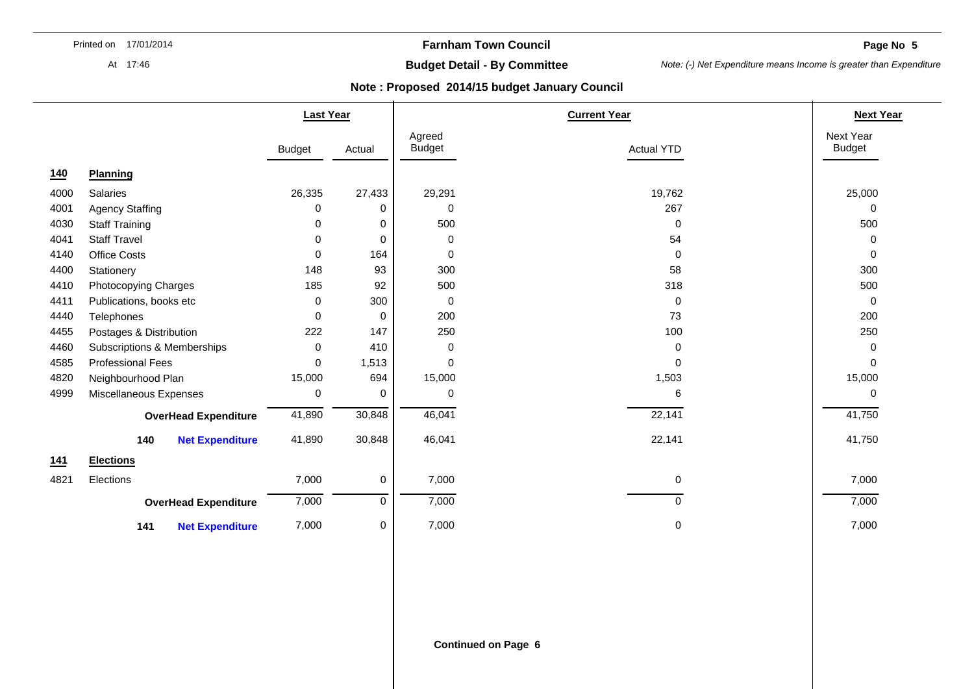At 17:46

## **Farnham Town Council**

**Page No 5** 

# **Budget Detail - By Committee**

*Note: (-) Net Expenditure means Income is greater than Expenditure* 

|      |                               | <b>Last Year</b> |        |                         | <b>Current Year</b> | <b>Next Year</b>           |
|------|-------------------------------|------------------|--------|-------------------------|---------------------|----------------------------|
|      |                               | <b>Budget</b>    | Actual | Agreed<br><b>Budget</b> | <b>Actual YTD</b>   | Next Year<br><b>Budget</b> |
| 140  | <b>Planning</b>               |                  |        |                         |                     |                            |
| 4000 | Salaries                      | 26,335           | 27,433 | 29,291                  | 19,762              | 25,000                     |
| 4001 | <b>Agency Staffing</b>        | 0                | 0      | 0                       | 267                 | 0                          |
| 4030 | <b>Staff Training</b>         | 0                | 0      | 500                     | $\mathbf 0$         | 500                        |
| 4041 | <b>Staff Travel</b>           | $\Omega$         | 0      | 0                       | 54                  | 0                          |
| 4140 | <b>Office Costs</b>           | 0                | 164    | 0                       | 0                   | 0                          |
| 4400 | Stationery                    | 148              | 93     | 300                     | 58                  | 300                        |
| 4410 | Photocopying Charges          | 185              | 92     | 500                     | 318                 | 500                        |
| 4411 | Publications, books etc       | 0                | 300    | 0                       | 0                   | 0                          |
| 4440 | Telephones                    | 0                | 0      | 200                     | 73                  | 200                        |
| 4455 | Postages & Distribution       | 222              | 147    | 250                     | 100                 | 250                        |
| 4460 | Subscriptions & Memberships   | 0                | 410    | 0                       | 0                   | 0                          |
| 4585 | <b>Professional Fees</b>      | $\Omega$         | 1,513  | $\mathbf 0$             | 0                   | $\Omega$                   |
| 4820 | Neighbourhood Plan            | 15,000           | 694    | 15,000                  | 1,503               | 15,000                     |
| 4999 | Miscellaneous Expenses        | 0                | 0      | 0                       | 6                   | 0                          |
|      | <b>OverHead Expenditure</b>   | 41,890           | 30,848 | 46,041                  | 22,141              | 41,750                     |
|      | 140<br><b>Net Expenditure</b> | 41,890           | 30,848 | 46,041                  | 22,141              | 41,750                     |
| 141  | <b>Elections</b>              |                  |        |                         |                     |                            |
| 4821 | Elections                     | 7,000            | 0      | 7,000                   | 0                   | 7,000                      |
|      | <b>OverHead Expenditure</b>   | 7,000            | 0      | 7,000                   | $\mathbf 0$         | 7,000                      |
|      | <b>Net Expenditure</b><br>141 | 7,000            | 0      | 7,000                   | 0                   | 7,000                      |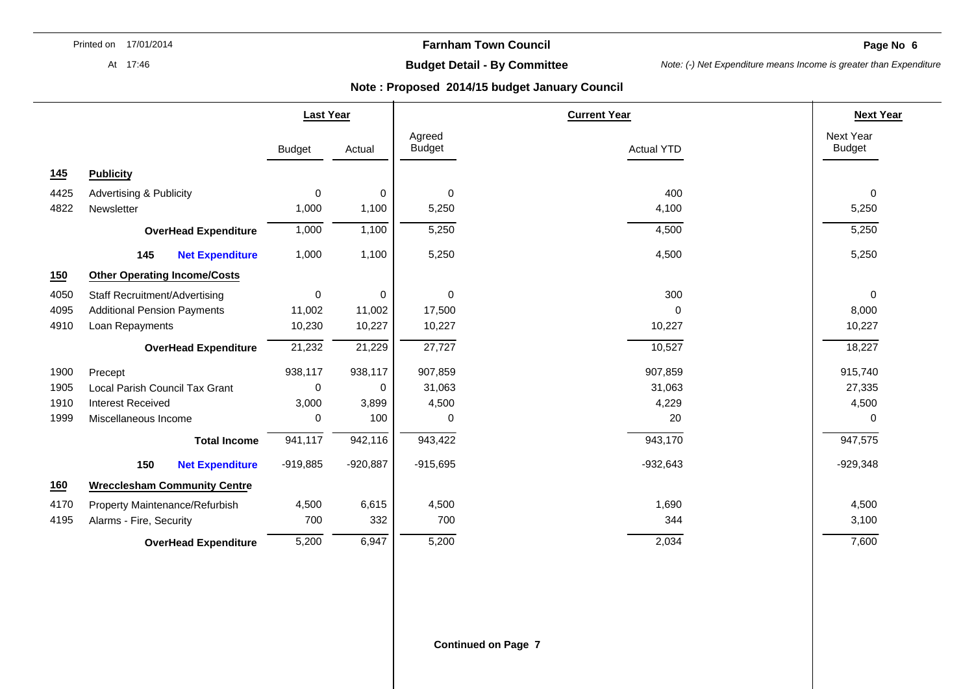**Farnham Town Council** 

**Page No 6** 

#### At 17:46

# **Budget Detail - By Committee**

*Note: (-) Net Expenditure means Income is greater than Expenditure* 

|      |                                      | <b>Last Year</b> |            |                         | <b>Current Year</b> |                            |
|------|--------------------------------------|------------------|------------|-------------------------|---------------------|----------------------------|
|      |                                      | <b>Budget</b>    | Actual     | Agreed<br><b>Budget</b> | <b>Actual YTD</b>   | Next Year<br><b>Budget</b> |
| 145  | <b>Publicity</b>                     |                  |            |                         |                     |                            |
| 4425 | <b>Advertising &amp; Publicity</b>   | 0                | 0          | $\pmb{0}$               | 400                 | 0                          |
| 4822 | Newsletter                           | 1,000            | 1,100      | 5,250                   | 4,100               | 5,250                      |
|      | <b>OverHead Expenditure</b>          | 1,000            | 1,100      | 5,250                   | 4,500               | 5,250                      |
|      | 145<br><b>Net Expenditure</b>        | 1,000            | 1,100      | 5,250                   | 4,500               | 5,250                      |
| 150  | <b>Other Operating Income/Costs</b>  |                  |            |                         |                     |                            |
| 4050 | <b>Staff Recruitment/Advertising</b> | 0                | 0          | $\mathbf 0$             | 300                 | $\mathbf 0$                |
| 4095 | <b>Additional Pension Payments</b>   | 11,002           | 11,002     | 17,500                  | $\Omega$            | 8,000                      |
| 4910 | Loan Repayments                      | 10,230           | 10,227     | 10,227                  | 10,227              | 10,227                     |
|      | <b>OverHead Expenditure</b>          | 21,232           | 21,229     | 27,727                  | 10,527              | 18,227                     |
| 1900 | Precept                              | 938,117          | 938,117    | 907,859                 | 907,859             | 915,740                    |
| 1905 | Local Parish Council Tax Grant       | $\Omega$         | $\Omega$   | 31,063                  | 31,063              | 27,335                     |
| 1910 | <b>Interest Received</b>             | 3,000            | 3,899      | 4,500                   | 4,229               | 4,500                      |
| 1999 | Miscellaneous Income                 | 0                | 100        | 0                       | 20                  | 0                          |
|      | <b>Total Income</b>                  | 941,117          | 942,116    | 943,422                 | 943,170             | 947,575                    |
|      | 150<br><b>Net Expenditure</b>        | $-919,885$       | $-920,887$ | $-915,695$              | $-932,643$          | $-929,348$                 |
| 160  | <b>Wrecclesham Community Centre</b>  |                  |            |                         |                     |                            |
| 4170 | Property Maintenance/Refurbish       | 4,500            | 6,615      | 4,500                   | 1,690               | 4,500                      |
| 4195 | Alarms - Fire, Security              | 700              | 332        | 700                     | 344                 | 3,100                      |
|      | <b>OverHead Expenditure</b>          | 5,200            | 6,947      | 5,200                   | 2,034               | 7,600                      |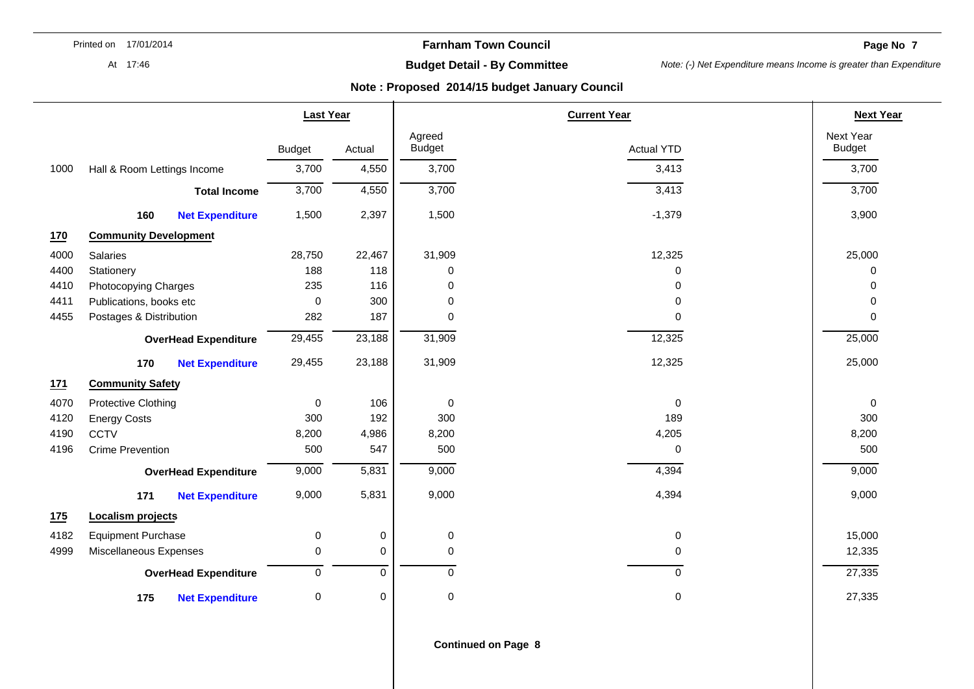**Farnham Town Council** 

**Page No 7** 

At 17:46

# **Budget Detail - By Committee**

*Note: (-) Net Expenditure means Income is greater than Expenditure* 

|      |                              |                             | <b>Last Year</b> |             |                         | <b>Current Year</b> |                            |  |
|------|------------------------------|-----------------------------|------------------|-------------|-------------------------|---------------------|----------------------------|--|
|      |                              |                             | <b>Budget</b>    | Actual      | Agreed<br><b>Budget</b> | <b>Actual YTD</b>   | Next Year<br><b>Budget</b> |  |
| 1000 | Hall & Room Lettings Income  |                             | 3,700            | 4,550       | 3,700                   | 3,413               | 3,700                      |  |
|      |                              | <b>Total Income</b>         | 3,700            | 4,550       | 3,700                   | 3,413               | 3,700                      |  |
|      | 160                          | <b>Net Expenditure</b>      | 1,500            | 2,397       | 1,500                   | $-1,379$            | 3,900                      |  |
| 170  | <b>Community Development</b> |                             |                  |             |                         |                     |                            |  |
| 4000 | Salaries                     |                             | 28,750           | 22,467      | 31,909                  | 12,325              | 25,000                     |  |
| 4400 | Stationery                   |                             | 188              | 118         | 0                       | 0                   | 0                          |  |
| 4410 | Photocopying Charges         |                             | 235              | 116         | 0                       | 0                   | 0                          |  |
| 4411 | Publications, books etc      |                             | 0                | 300         | $\mathbf 0$             | $\Omega$            | 0                          |  |
| 4455 | Postages & Distribution      |                             | 282              | 187         | $\mathbf 0$             | $\mathbf 0$         | 0                          |  |
|      |                              | <b>OverHead Expenditure</b> | 29,455           | 23,188      | 31,909                  | 12,325              | 25,000                     |  |
|      | 170                          | <b>Net Expenditure</b>      | 29,455           | 23,188      | 31,909                  | 12,325              | 25,000                     |  |
| 171  | <b>Community Safety</b>      |                             |                  |             |                         |                     |                            |  |
| 4070 | <b>Protective Clothing</b>   |                             | 0                | 106         | $\mathbf 0$             | $\Omega$            | 0                          |  |
| 4120 | <b>Energy Costs</b>          |                             | 300              | 192         | 300                     | 189                 | 300                        |  |
| 4190 | <b>CCTV</b>                  |                             | 8,200            | 4,986       | 8,200                   | 4,205               | 8,200                      |  |
| 4196 | <b>Crime Prevention</b>      |                             | 500              | 547         | 500                     | $\mathbf 0$         | 500                        |  |
|      |                              | <b>OverHead Expenditure</b> | 9,000            | 5,831       | 9,000                   | 4,394               | 9,000                      |  |
|      | 171                          | <b>Net Expenditure</b>      | 9,000            | 5,831       | 9,000                   | 4,394               | 9,000                      |  |
| 175  | <b>Localism projects</b>     |                             |                  |             |                         |                     |                            |  |
| 4182 | <b>Equipment Purchase</b>    |                             | 0                | 0           | $\pmb{0}$               | $\mathbf 0$         | 15,000                     |  |
| 4999 | Miscellaneous Expenses       |                             | 0                | $\mathbf 0$ | $\mathbf 0$             | 0                   | 12,335                     |  |
|      |                              | <b>OverHead Expenditure</b> | 0                | $\mathbf 0$ | $\mathbf 0$             | $\mathbf 0$         | 27,335                     |  |
|      | 175                          | <b>Net Expenditure</b>      | 0                | 0           | $\mathbf 0$             | 0                   | 27,335                     |  |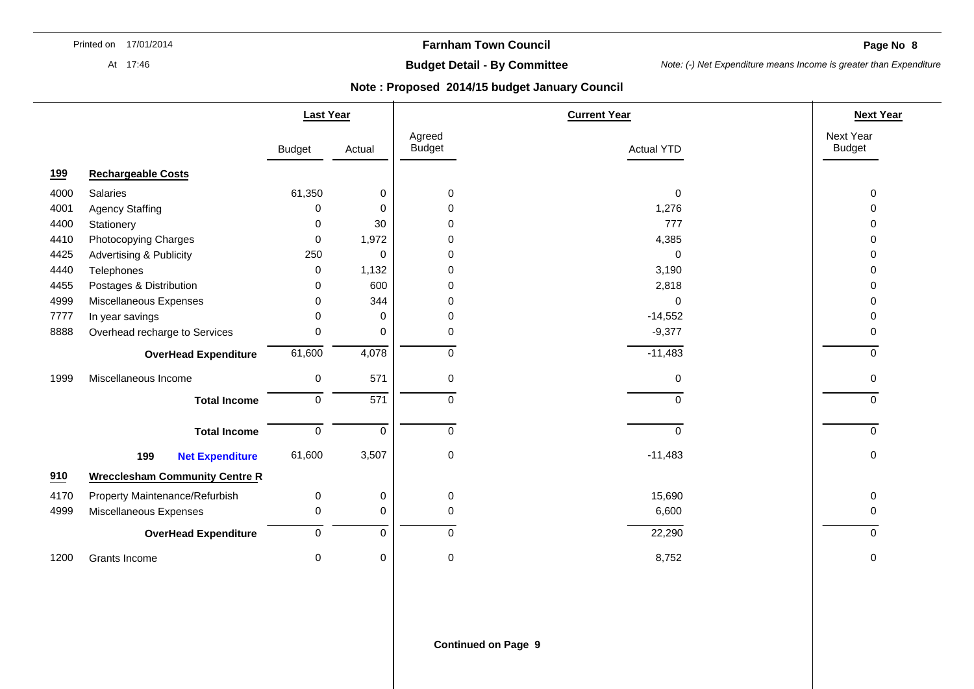**Farnham Town Council** 

**Page No 8** 

At 17:46

# **Budget Detail - By Committee**

*Note: (-) Net Expenditure means Income is greater than Expenditure* 

|            |                                       | <b>Last Year</b> |                  |                         | <b>Current Year</b> |                            |  |
|------------|---------------------------------------|------------------|------------------|-------------------------|---------------------|----------------------------|--|
|            |                                       | <b>Budget</b>    | Actual           | Agreed<br><b>Budget</b> | <b>Actual YTD</b>   | Next Year<br><b>Budget</b> |  |
| <u>199</u> | <b>Rechargeable Costs</b>             |                  |                  |                         |                     |                            |  |
| 4000       | Salaries                              | 61,350           | 0                | 0                       | $\mathbf 0$         | 0                          |  |
| 4001       | <b>Agency Staffing</b>                | 0                | 0                | 0                       | 1,276               | 0                          |  |
| 4400       | Stationery                            | 0                | 30               | 0                       | 777                 | 0                          |  |
| 4410       | Photocopying Charges                  | 0                | 1,972            | 0                       | 4,385               | 0                          |  |
| 4425       | <b>Advertising &amp; Publicity</b>    | 250              | 0                | 0                       | $\mathbf 0$         | 0                          |  |
| 4440       | Telephones                            | 0                | 1,132            | 0                       | 3,190               | O                          |  |
| 4455       | Postages & Distribution               | 0                | 600              | 0                       | 2,818               | O                          |  |
| 4999       | Miscellaneous Expenses                | $\Omega$         | 344              | $\Omega$                | $\mathbf 0$         | U                          |  |
| 7777       | In year savings                       | $\Omega$         | $\Omega$         | $\Omega$                | $-14,552$           | O                          |  |
| 8888       | Overhead recharge to Services         | $\Omega$         | $\Omega$         | $\Omega$                | $-9,377$            | O                          |  |
|            | <b>OverHead Expenditure</b>           | 61,600           | 4,078            | $\Omega$                | $-11,483$           | $\Omega$                   |  |
| 1999       | Miscellaneous Income                  | $\mathbf 0$      | 571              | 0                       | 0                   | 0                          |  |
|            | <b>Total Income</b>                   | $\pmb{0}$        | $\overline{571}$ | $\Omega$                | $\mathbf 0$         | 0                          |  |
|            | <b>Total Income</b>                   | $\mathbf 0$      | $\Omega$         | $\Omega$                | $\mathbf 0$         | 0                          |  |
|            | 199<br><b>Net Expenditure</b>         | 61,600           | 3,507            | 0                       | $-11,483$           | $\Omega$                   |  |
| 910        | <b>Wrecclesham Community Centre R</b> |                  |                  |                         |                     |                            |  |
| 4170       | Property Maintenance/Refurbish        | 0                | 0                | 0                       | 15,690              | 0                          |  |
| 4999       | Miscellaneous Expenses                | 0                | $\mathbf 0$      | $\mathbf 0$             | 6,600               | 0                          |  |
|            | <b>OverHead Expenditure</b>           | $\mathbf 0$      | $\mathbf 0$      | $\Omega$                | 22,290              | $\Omega$                   |  |
| 1200       | Grants Income                         | 0                | 0                | 0                       | 8,752               | 0                          |  |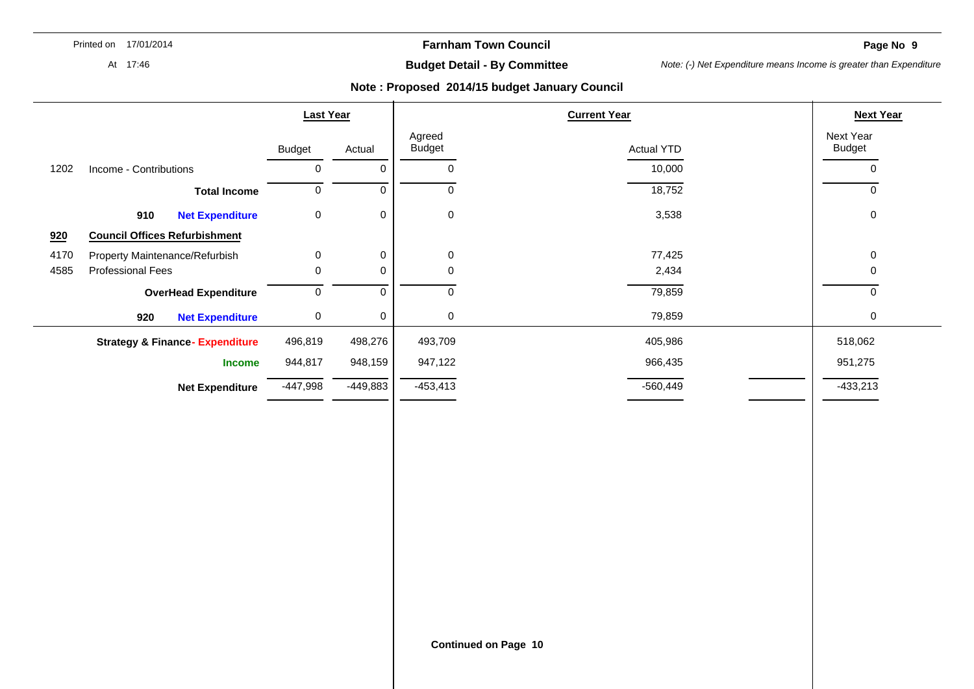**Farnham Town Council** 

**Page No 9** 

At 17:46

# **Budget Detail - By Committee**

*Note: (-) Net Expenditure means Income is greater than Expenditure* 

|      |                                           | <b>Last Year</b> |                     | <b>Current Year</b>         |                   | <b>Next Year</b>           |
|------|-------------------------------------------|------------------|---------------------|-----------------------------|-------------------|----------------------------|
|      |                                           | <b>Budget</b>    | Actual              | Agreed<br><b>Budget</b>     | <b>Actual YTD</b> | Next Year<br><b>Budget</b> |
| 1202 | Income - Contributions                    | $\mathbf 0$      | $\mathsf{O}\xspace$ | $\pmb{0}$                   | 10,000            | $\pmb{0}$                  |
|      | <b>Total Income</b>                       | $\overline{0}$   | $\mathbf 0$         | $\overline{0}$              | 18,752            | $\mathsf{O}\xspace$        |
|      | <b>Net Expenditure</b><br>910             | $\pmb{0}$        | $\pmb{0}$           | $\pmb{0}$                   | 3,538             | $\pmb{0}$                  |
| 920  | <b>Council Offices Refurbishment</b>      |                  |                     |                             |                   |                            |
| 4170 | Property Maintenance/Refurbish            | $\pmb{0}$        | $\pmb{0}$           | $\pmb{0}$                   | 77,425            | $\pmb{0}$                  |
| 4585 | <b>Professional Fees</b>                  | 0                | $\mathbf 0$         | $\pmb{0}$                   | 2,434             | $\mathbf 0$                |
|      | <b>OverHead Expenditure</b>               | $\overline{0}$   | $\overline{0}$      | $\overline{0}$              | 79,859            | 0                          |
|      | 920<br><b>Net Expenditure</b>             | $\pmb{0}$        | $\,0\,$             | $\pmb{0}$                   | 79,859            | $\mathsf{O}\xspace$        |
|      | <b>Strategy &amp; Finance-Expenditure</b> | 496,819          | 498,276             | 493,709                     | 405,986           | 518,062                    |
|      | <b>Income</b>                             | 944,817          | 948,159             | 947,122                     | 966,435           | 951,275                    |
|      | <b>Net Expenditure</b>                    | $-447,998$       | $-449,883$          | $-453,413$                  | $-560,449$        | $-433,213$                 |
|      |                                           |                  |                     |                             |                   |                            |
|      |                                           |                  |                     |                             |                   |                            |
|      |                                           |                  |                     |                             |                   |                            |
|      |                                           |                  |                     |                             |                   |                            |
|      |                                           |                  |                     |                             |                   |                            |
|      |                                           |                  |                     |                             |                   |                            |
|      |                                           |                  |                     |                             |                   |                            |
|      |                                           |                  |                     |                             |                   |                            |
|      |                                           |                  |                     |                             |                   |                            |
|      |                                           |                  |                     |                             |                   |                            |
|      |                                           |                  |                     |                             |                   |                            |
|      |                                           |                  |                     |                             |                   |                            |
|      |                                           |                  |                     | <b>Continued on Page 10</b> |                   |                            |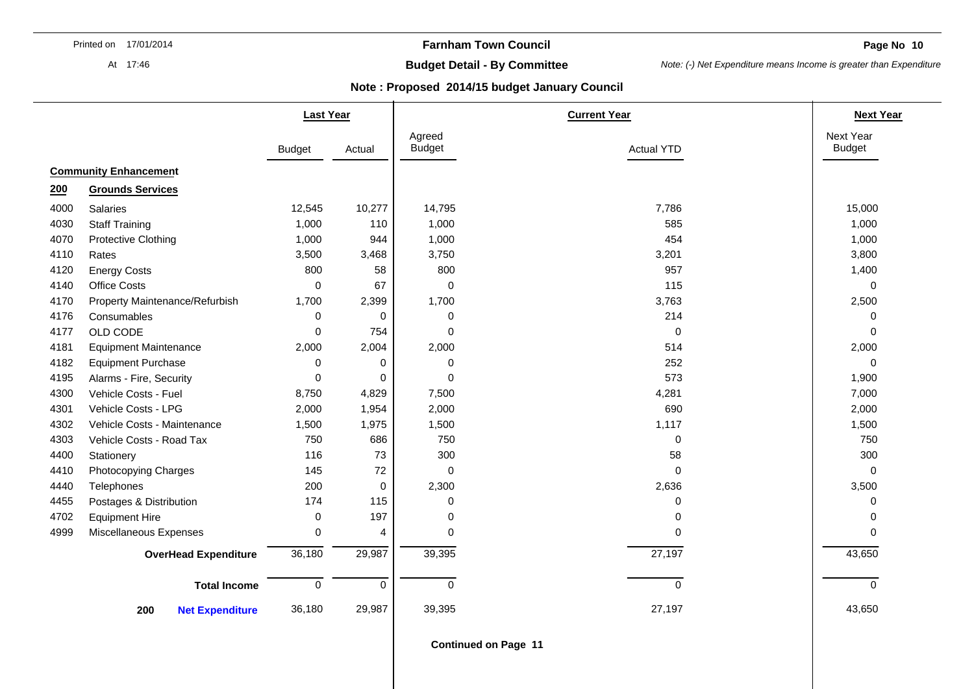At 17:46

## **Farnham Town Council**

**Page No 10** 

# **Budget Detail - By Committee**

*Note: (-) Net Expenditure means Income is greater than Expenditure* 

### **Note : Proposed 2014/15 budget January Council**

|      |                                | <b>Last Year</b> |             |                         | <b>Current Year</b> |                            |  |
|------|--------------------------------|------------------|-------------|-------------------------|---------------------|----------------------------|--|
|      |                                | <b>Budget</b>    | Actual      | Agreed<br><b>Budget</b> | <b>Actual YTD</b>   | Next Year<br><b>Budget</b> |  |
|      | <b>Community Enhancement</b>   |                  |             |                         |                     |                            |  |
| 200  | <b>Grounds Services</b>        |                  |             |                         |                     |                            |  |
| 4000 | Salaries                       | 12,545           | 10,277      | 14,795                  | 7,786               | 15,000                     |  |
| 4030 | <b>Staff Training</b>          | 1,000            | 110         | 1,000                   | 585                 | 1,000                      |  |
| 4070 | Protective Clothing            | 1,000            | 944         | 1,000                   | 454                 | 1,000                      |  |
| 4110 | Rates                          | 3,500            | 3,468       | 3,750                   | 3,201               | 3,800                      |  |
| 4120 | <b>Energy Costs</b>            | 800              | 58          | 800                     | 957                 | 1,400                      |  |
| 4140 | <b>Office Costs</b>            | $\mathbf 0$      | 67          | $\mathbf 0$             | 115                 | $\mathbf 0$                |  |
| 4170 | Property Maintenance/Refurbish | 1,700            | 2,399       | 1,700                   | 3,763               | 2,500                      |  |
| 4176 | Consumables                    | $\mathbf 0$      | $\Omega$    | $\mathbf 0$             | 214                 | $\mathbf 0$                |  |
| 4177 | OLD CODE                       | $\mathbf 0$      | 754         | 0                       | $\pmb{0}$           | $\mathbf 0$                |  |
| 4181 | <b>Equipment Maintenance</b>   | 2,000            | 2,004       | 2,000                   | 514                 | 2,000                      |  |
| 4182 | <b>Equipment Purchase</b>      | 0                | 0           | 0                       | 252                 | $\Omega$                   |  |
| 4195 | Alarms - Fire, Security        | 0                | 0           | $\mathbf 0$             | 573                 | 1,900                      |  |
| 4300 | Vehicle Costs - Fuel           | 8,750            | 4,829       | 7,500                   | 4,281               | 7,000                      |  |
| 4301 | Vehicle Costs - LPG            | 2,000            | 1,954       | 2,000                   | 690                 | 2,000                      |  |
| 4302 | Vehicle Costs - Maintenance    | 1,500            | 1,975       | 1,500                   | 1,117               | 1,500                      |  |
| 4303 | Vehicle Costs - Road Tax       | 750              | 686         | 750                     | $\mathbf 0$         | 750                        |  |
| 4400 | Stationery                     | 116              | 73          | 300                     | 58                  | 300                        |  |
| 4410 | Photocopying Charges           | 145              | 72          | $\mathbf 0$             | $\mathbf 0$         | $\mathbf 0$                |  |
| 4440 | Telephones                     | 200              | $\mathbf 0$ | 2,300                   | 2,636               | 3,500                      |  |
| 4455 | Postages & Distribution        | 174              | 115         | 0                       | 0                   | $\Omega$                   |  |
| 4702 | <b>Equipment Hire</b>          | $\mathbf 0$      | 197         | $\mathbf 0$             | $\Omega$            | $\Omega$                   |  |
| 4999 | Miscellaneous Expenses         | $\mathbf 0$      | 4           | $\Omega$                | 0                   | $\Omega$                   |  |
|      | <b>OverHead Expenditure</b>    | 36,180           | 29,987      | 39,395                  | 27,197              | 43,650                     |  |
|      | <b>Total Income</b>            | $\mathbf 0$      | $\mathbf 0$ | $\Omega$                | $\mathbf 0$         | $\Omega$                   |  |
|      | 200<br><b>Net Expenditure</b>  | 36,180           | 29,987      | 39,395                  | 27,197              | 43,650                     |  |

**Continued on Page 11**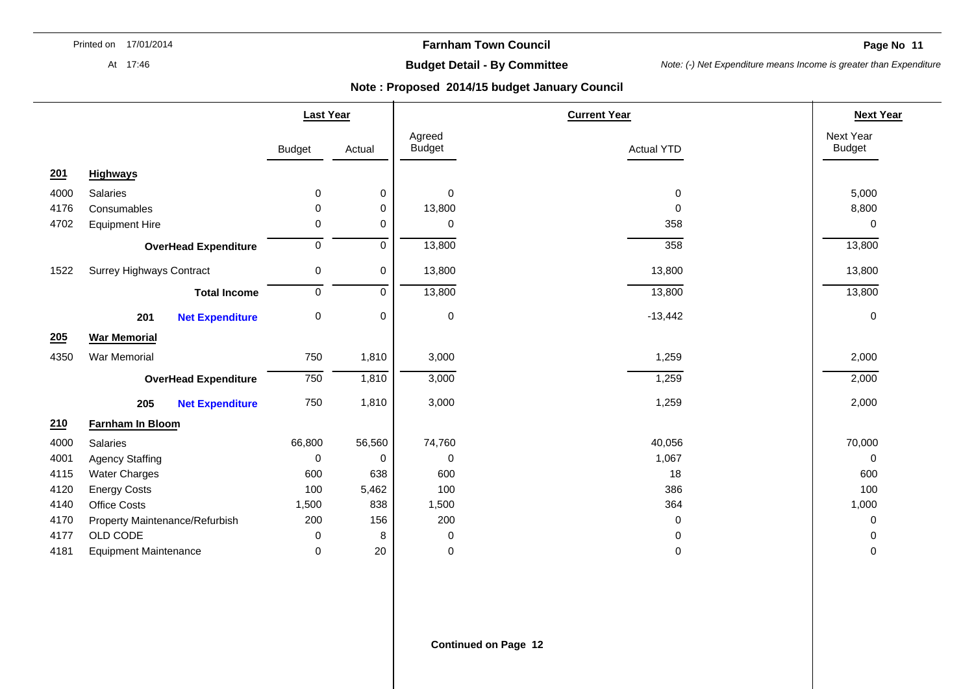**Farnham Town Council** 

**Page No. 11**  $\blacksquare$ 

At 17:46

# **Budget Detail - By Committee**

*Note: (-) Net Expenditure means Income is greater than Expenditure* 

|      |                                 |                             | <b>Last Year</b> |           |                         | <b>Current Year</b> |                            |  |
|------|---------------------------------|-----------------------------|------------------|-----------|-------------------------|---------------------|----------------------------|--|
|      |                                 |                             | <b>Budget</b>    | Actual    | Agreed<br><b>Budget</b> | <b>Actual YTD</b>   | Next Year<br><b>Budget</b> |  |
| 201  | <b>Highways</b>                 |                             |                  |           |                         |                     |                            |  |
| 4000 | Salaries                        |                             | 0                | 0         | 0                       | $\mathbf 0$         | 5,000                      |  |
| 4176 | Consumables                     |                             | 0                | 0         | 13,800                  | 0                   | 8,800                      |  |
| 4702 | <b>Equipment Hire</b>           |                             | 0                | 0         | 0                       | 358                 | 0                          |  |
|      |                                 | <b>OverHead Expenditure</b> | 0                | 0         | 13,800                  | 358                 | 13,800                     |  |
| 1522 | <b>Surrey Highways Contract</b> |                             | 0                | 0         | 13,800                  | 13,800              | 13,800                     |  |
|      |                                 | <b>Total Income</b>         | 0                | $\pmb{0}$ | 13,800                  | 13,800              | 13,800                     |  |
|      | 201                             | <b>Net Expenditure</b>      | 0                | 0         | $\pmb{0}$               | $-13,442$           | $\mathbf 0$                |  |
| 205  | <b>War Memorial</b>             |                             |                  |           |                         |                     |                            |  |
| 4350 | <b>War Memorial</b>             |                             | 750              | 1,810     | 3,000                   | 1,259               | 2,000                      |  |
|      |                                 | <b>OverHead Expenditure</b> | 750              | 1,810     | 3,000                   | 1,259               | 2,000                      |  |
|      | 205                             | <b>Net Expenditure</b>      | 750              | 1,810     | 3,000                   | 1,259               | 2,000                      |  |
| 210  | Farnham In Bloom                |                             |                  |           |                         |                     |                            |  |
| 4000 | Salaries                        |                             | 66,800           | 56,560    | 74,760                  | 40,056              | 70,000                     |  |
| 4001 | <b>Agency Staffing</b>          |                             | 0                | 0         | 0                       | 1,067               | 0                          |  |
| 4115 | <b>Water Charges</b>            |                             | 600              | 638       | 600                     | 18                  | 600                        |  |
| 4120 | <b>Energy Costs</b>             |                             | 100              | 5,462     | 100                     | 386                 | 100                        |  |
| 4140 | Office Costs                    |                             | 1,500            | 838       | 1,500                   | 364                 | 1,000                      |  |
| 4170 | Property Maintenance/Refurbish  |                             | 200              | 156       | 200                     | 0                   | 0                          |  |
| 4177 | OLD CODE                        |                             | 0                | 8         | 0                       | 0                   | 0                          |  |
| 4181 | <b>Equipment Maintenance</b>    |                             | 0                | 20        | 0                       | 0                   | 0                          |  |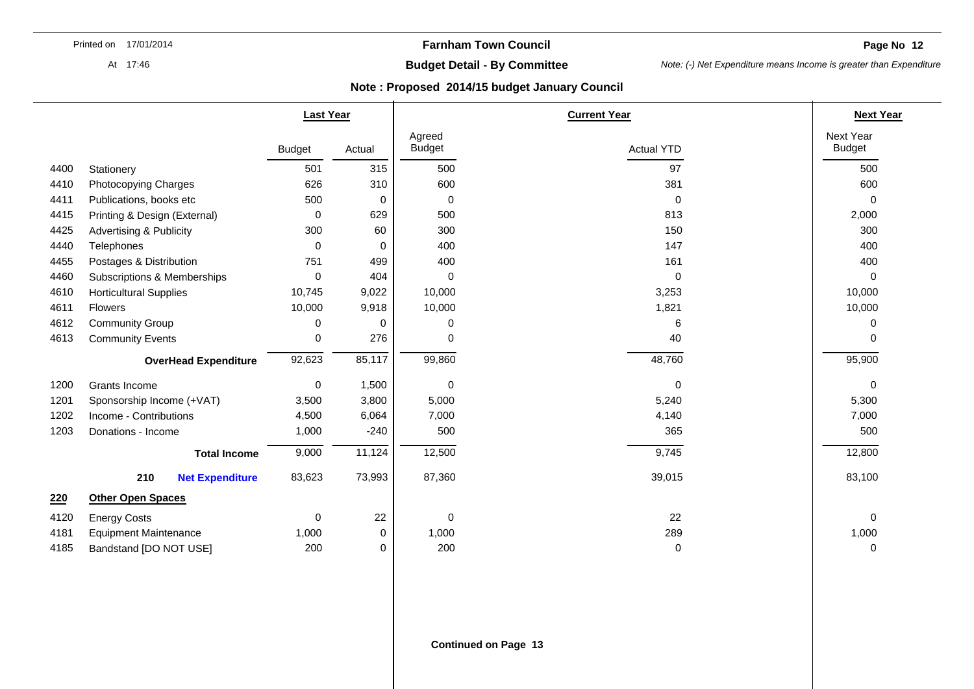**Page No 12** 

At 17:46

# **Budget Detail - By Committee**

*Note: (-) Net Expenditure means Income is greater than Expenditure* 

|      |                                    | <b>Last Year</b> |        |                         | <b>Current Year</b> |                            |  |
|------|------------------------------------|------------------|--------|-------------------------|---------------------|----------------------------|--|
|      |                                    | <b>Budget</b>    | Actual | Agreed<br><b>Budget</b> | <b>Actual YTD</b>   | Next Year<br><b>Budget</b> |  |
| 4400 | Stationery                         | 501              | 315    | 500                     | 97                  | 500                        |  |
| 4410 | Photocopying Charges               | 626              | 310    | 600                     | 381                 | 600                        |  |
| 4411 | Publications, books etc            | 500              | 0      | 0                       | $\mathbf 0$         | $\mathbf 0$                |  |
| 4415 | Printing & Design (External)       | 0                | 629    | 500                     | 813                 | 2,000                      |  |
| 4425 | <b>Advertising &amp; Publicity</b> | 300              | 60     | 300                     | 150                 | 300                        |  |
| 4440 | Telephones                         | $\mathbf{0}$     | 0      | 400                     | 147                 | 400                        |  |
| 4455 | Postages & Distribution            | 751              | 499    | 400                     | 161                 | 400                        |  |
| 4460 | Subscriptions & Memberships        | 0                | 404    | $\Omega$                | $\mathbf 0$         | $\mathbf 0$                |  |
| 4610 | <b>Horticultural Supplies</b>      | 10,745           | 9,022  | 10,000                  | 3,253               | 10,000                     |  |
| 4611 | Flowers                            | 10,000           | 9,918  | 10,000                  | 1,821               | 10,000                     |  |
| 4612 | <b>Community Group</b>             | 0                | 0      | 0                       | 6                   | 0                          |  |
| 4613 | <b>Community Events</b>            | 0                | 276    | 0                       | 40                  | 0                          |  |
|      | <b>OverHead Expenditure</b>        |                  | 85,117 | 99,860                  | 48,760              | 95,900                     |  |
| 1200 | Grants Income                      | $\mathbf 0$      | 1,500  | 0                       | 0                   | $\mathbf 0$                |  |
| 1201 | Sponsorship Income (+VAT)          | 3,500            | 3,800  | 5,000                   | 5,240               | 5,300                      |  |
| 1202 | Income - Contributions             | 4,500            | 6,064  | 7,000                   | 4,140               | 7,000                      |  |
| 1203 | Donations - Income                 | 1,000            | $-240$ | 500                     | 365                 | 500                        |  |
|      | <b>Total Income</b>                | 9,000            | 11,124 | 12,500                  | 9,745               | 12,800                     |  |
|      | 210<br><b>Net Expenditure</b>      | 83,623           | 73,993 | 87,360                  | 39,015              | 83,100                     |  |
| 220  | <b>Other Open Spaces</b>           |                  |        |                         |                     |                            |  |
| 4120 | <b>Energy Costs</b>                | 0                | 22     | 0                       | 22                  | 0                          |  |
| 4181 | <b>Equipment Maintenance</b>       | 1,000            | 0      | 1,000                   | 289                 | 1,000                      |  |
| 4185 | Bandstand [DO NOT USE]             | 200              | 0      | 200                     | 0                   | $\mathbf 0$                |  |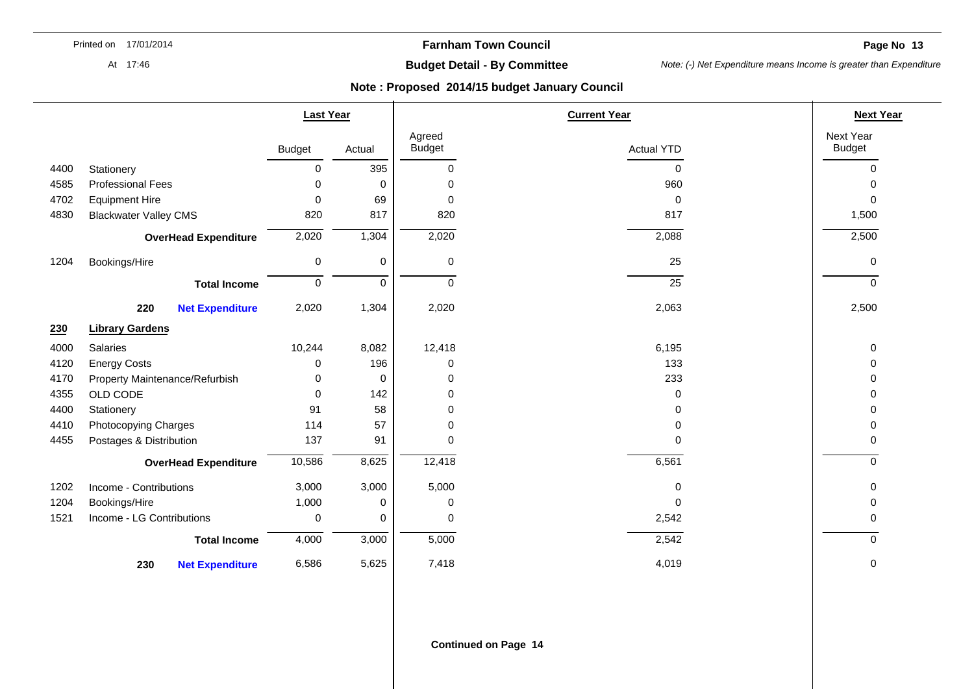At 17:46

# **Budget Detail - By Committee**

*Note: (-) Net Expenditure means Income is greater than Expenditure* 

|      |                                | <b>Last Year</b> |             |                         | <b>Current Year</b> | <b>Next Year</b>           |
|------|--------------------------------|------------------|-------------|-------------------------|---------------------|----------------------------|
|      |                                | <b>Budget</b>    | Actual      | Agreed<br><b>Budget</b> | <b>Actual YTD</b>   | Next Year<br><b>Budget</b> |
| 4400 | Stationery                     | 0                | 395         | $\mathbf 0$             | 0                   | 0                          |
| 4585 | <b>Professional Fees</b>       | 0                | 0           | 0                       | 960                 | 0                          |
| 4702 | <b>Equipment Hire</b>          | $\mathbf 0$      | 69          | 0                       | 0                   | 0                          |
| 4830 | <b>Blackwater Valley CMS</b>   | 820              | 817         | 820                     | 817                 | 1,500                      |
|      | <b>OverHead Expenditure</b>    | 2,020            | 1,304       | 2,020                   | 2,088               | 2,500                      |
| 1204 | Bookings/Hire                  | 0                | $\mathbf 0$ | 0                       | 25                  | 0                          |
|      | <b>Total Income</b>            | 0                | $\mathbf 0$ | 0                       | 25                  | 0                          |
|      | 220<br><b>Net Expenditure</b>  | 2,020            | 1,304       | 2,020                   | 2,063               | 2,500                      |
| 230  | <b>Library Gardens</b>         |                  |             |                         |                     |                            |
| 4000 | Salaries                       | 10,244           | 8,082       | 12,418                  | 6,195               | 0                          |
| 4120 | <b>Energy Costs</b>            | 0                | 196         | 0                       | 133                 | 0                          |
| 4170 | Property Maintenance/Refurbish | 0                | 0           | 0                       | 233                 | 0                          |
| 4355 | OLD CODE                       | $\mathbf 0$      | 142         | 0                       | 0                   | 0                          |
| 4400 | Stationery                     | 91               | 58          | 0                       | 0                   | 0                          |
| 4410 | Photocopying Charges           | 114              | 57          | 0                       | 0                   | 0                          |
| 4455 | Postages & Distribution        | 137              | 91          | 0                       | $\Omega$            | 0                          |
|      | <b>OverHead Expenditure</b>    | 10,586           | 8,625       | 12,418                  | 6,561               | $\Omega$                   |
| 1202 | Income - Contributions         | 3,000            | 3,000       | 5,000                   | 0                   | 0                          |
| 1204 | Bookings/Hire                  | 1,000            | 0           | 0                       | 0                   | 0                          |
| 1521 | Income - LG Contributions      | 0                | 0           | 0                       | 2,542               | 0                          |
|      | <b>Total Income</b>            | 4,000            | 3,000       | 5,000                   | 2,542               | $\Omega$                   |
|      | 230<br><b>Net Expenditure</b>  | 6,586            | 5,625       | 7,418                   | 4,019               | 0                          |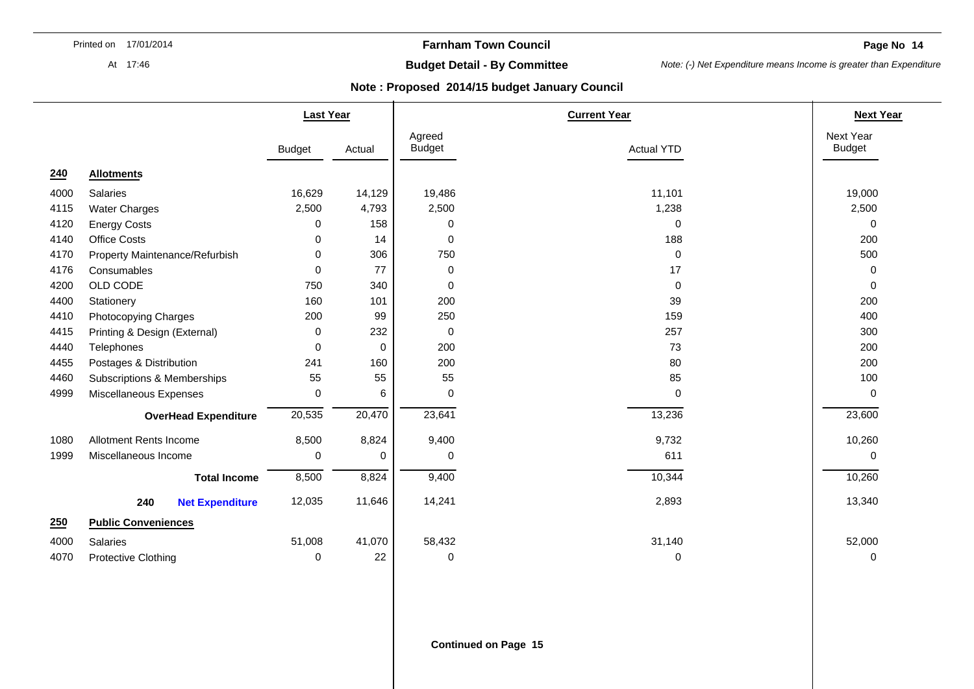At 17:46

## **Farnham Town Council**

**Page No 14** 

# **Budget Detail - By Committee**

*Note: (-) Net Expenditure means Income is greater than Expenditure* 

### **Note : Proposed 2014/15 budget January Council**

|      |                                | <b>Last Year</b> |              | <b>Current Year</b>     |                   | <b>Next Year</b>           |
|------|--------------------------------|------------------|--------------|-------------------------|-------------------|----------------------------|
|      |                                | <b>Budget</b>    | Actual       | Agreed<br><b>Budget</b> | <b>Actual YTD</b> | Next Year<br><b>Budget</b> |
| 240  | <b>Allotments</b>              |                  |              |                         |                   |                            |
| 4000 | Salaries                       | 16,629           | 14,129       | 19,486                  | 11,101            | 19,000                     |
| 4115 | Water Charges                  | 2,500            | 4,793        | 2,500                   | 1,238             | 2,500                      |
| 4120 | <b>Energy Costs</b>            | 0                | 158          | $\mathbf 0$             | $\Omega$          | $\mathbf 0$                |
| 4140 | <b>Office Costs</b>            | 0                | 14           | $\pmb{0}$               | 188               | 200                        |
| 4170 | Property Maintenance/Refurbish | 0                | 306          | 750                     | 0                 | 500                        |
| 4176 | Consumables                    | 0                | 77           | $\mathbf 0$             | 17                | 0                          |
| 4200 | OLD CODE                       | 750              | 340          | $\mathbf 0$             | $\mathbf 0$       | $\mathbf 0$                |
| 4400 | Stationery                     | 160              | 101          | 200                     | 39                | 200                        |
| 4410 | Photocopying Charges           | 200              | 99           | 250                     | 159               | 400                        |
| 4415 | Printing & Design (External)   | 0                | 232          | $\mathbf 0$             | 257               | 300                        |
| 4440 | Telephones                     | $\Omega$         | $\mathbf{0}$ | 200                     | 73                | 200                        |
| 4455 | Postages & Distribution        | 241              | 160          | 200                     | 80                | 200                        |
| 4460 | Subscriptions & Memberships    | 55               | 55           | 55                      | 85                | 100                        |
| 4999 | Miscellaneous Expenses         | 0                | 6            | $\mathbf 0$             | 0                 | $\mathbf 0$                |
|      | <b>OverHead Expenditure</b>    | 20,535           | 20,470       | 23,641                  | 13,236            | 23,600                     |
| 1080 | Allotment Rents Income         | 8,500            | 8,824        | 9,400                   | 9,732             | 10,260                     |
| 1999 | Miscellaneous Income           | 0                | 0            | 0                       | 611               | 0                          |
|      | <b>Total Income</b>            | 8,500            | 8,824        | 9,400                   | 10,344            | 10,260                     |
|      | 240<br><b>Net Expenditure</b>  | 12,035           | 11,646       | 14,241                  | 2,893             | 13,340                     |
| 250  | <b>Public Conveniences</b>     |                  |              |                         |                   |                            |
| 4000 | Salaries                       | 51,008           | 41,070       | 58,432                  | 31,140            | 52,000                     |
| 4070 | Protective Clothing            | 0                | 22           | 0                       | 0                 | 0                          |

**Continued on Page 15**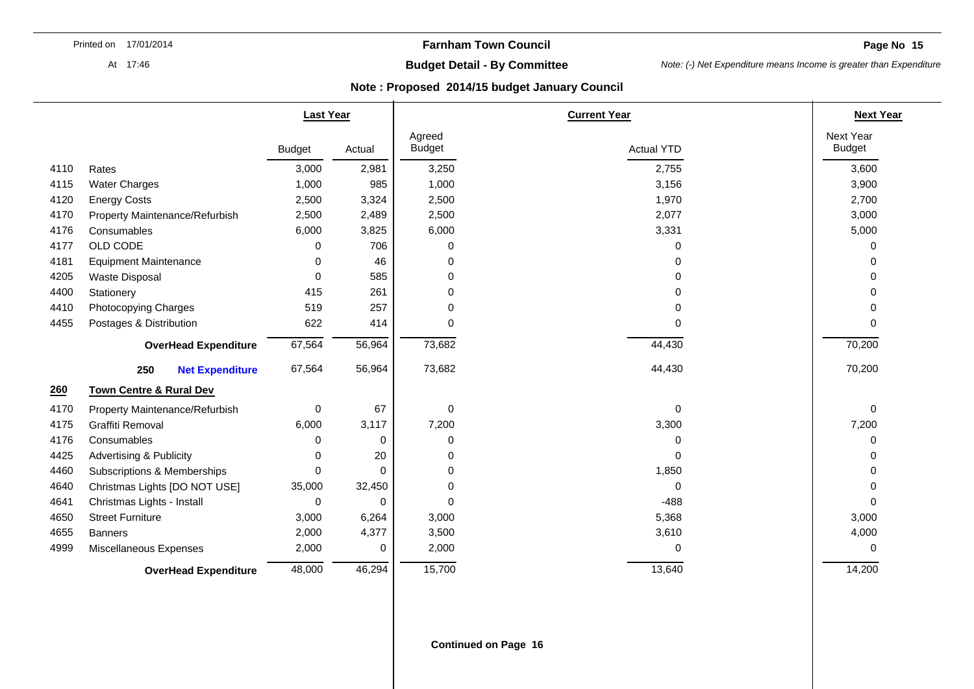**Page No 15** 

#### At 17:46

# **Budget Detail - By Committee**

*Note: (-) Net Expenditure means Income is greater than Expenditure* 

|      |                                    | <b>Last Year</b> |          | <b>Current Year</b>     |                   | <b>Next Year</b>           |
|------|------------------------------------|------------------|----------|-------------------------|-------------------|----------------------------|
|      |                                    | <b>Budget</b>    | Actual   | Agreed<br><b>Budget</b> | <b>Actual YTD</b> | Next Year<br><b>Budget</b> |
| 4110 | Rates                              | 3,000            | 2,981    | 3,250                   | 2,755             | 3,600                      |
| 4115 | <b>Water Charges</b>               | 1,000            | 985      | 1,000                   | 3,156             | 3,900                      |
| 4120 | <b>Energy Costs</b>                | 2,500            | 3,324    | 2,500                   | 1,970             | 2,700                      |
| 4170 | Property Maintenance/Refurbish     | 2,500            | 2,489    | 2,500                   | 2,077             | 3,000                      |
| 4176 | Consumables                        | 6,000            | 3,825    | 6,000                   | 3,331             | 5,000                      |
| 4177 | OLD CODE                           | 0                | 706      | 0                       | 0                 | 0                          |
| 4181 | <b>Equipment Maintenance</b>       | 0                | 46       | $\mathbf 0$             | 0                 | ∩                          |
| 4205 | Waste Disposal                     | $\Omega$         | 585      | $\mathbf 0$             | 0                 | ∩                          |
| 4400 | Stationery                         | 415              | 261      | $\Omega$                | 0                 | ∩                          |
| 4410 | Photocopying Charges               | 519              | 257      | 0                       | 0                 |                            |
| 4455 | Postages & Distribution            | 622              | 414      | $\Omega$                | $\Omega$          | 0                          |
|      | <b>OverHead Expenditure</b>        | 67,564           | 56,964   | 73,682                  | 44,430            | 70,200                     |
|      | 250<br><b>Net Expenditure</b>      | 67,564           | 56,964   | 73,682                  | 44,430            | 70,200                     |
| 260  | <b>Town Centre &amp; Rural Dev</b> |                  |          |                         |                   |                            |
| 4170 | Property Maintenance/Refurbish     | 0                | 67       | $\boldsymbol{0}$        | $\mathbf 0$       | $\mathbf 0$                |
| 4175 | Graffiti Removal                   | 6,000            | 3,117    | 7,200                   | 3,300             | 7,200                      |
| 4176 | Consumables                        | 0                | 0        | 0                       | 0                 | $\Omega$                   |
| 4425 | <b>Advertising &amp; Publicity</b> | 0                | 20       | 0                       | 0                 |                            |
| 4460 | Subscriptions & Memberships        | $\Omega$         | $\Omega$ | $\mathbf 0$             | 1,850             | ∩                          |
| 4640 | Christmas Lights [DO NOT USE]      | 35,000           | 32,450   | 0                       | 0                 | ∩                          |
| 4641 | Christmas Lights - Install         | 0                | $\Omega$ | $\Omega$                | $-488$            | $\Omega$                   |
| 4650 | <b>Street Furniture</b>            | 3,000            | 6,264    | 3,000                   | 5,368             | 3,000                      |
| 4655 | <b>Banners</b>                     | 2,000            | 4,377    | 3,500                   | 3,610             | 4,000                      |
| 4999 | Miscellaneous Expenses             | 2,000            | $\Omega$ | 2,000                   | 0                 | 0                          |
|      | <b>OverHead Expenditure</b>        | 48,000           | 46,294   | 15,700                  | 13,640            | 14,200                     |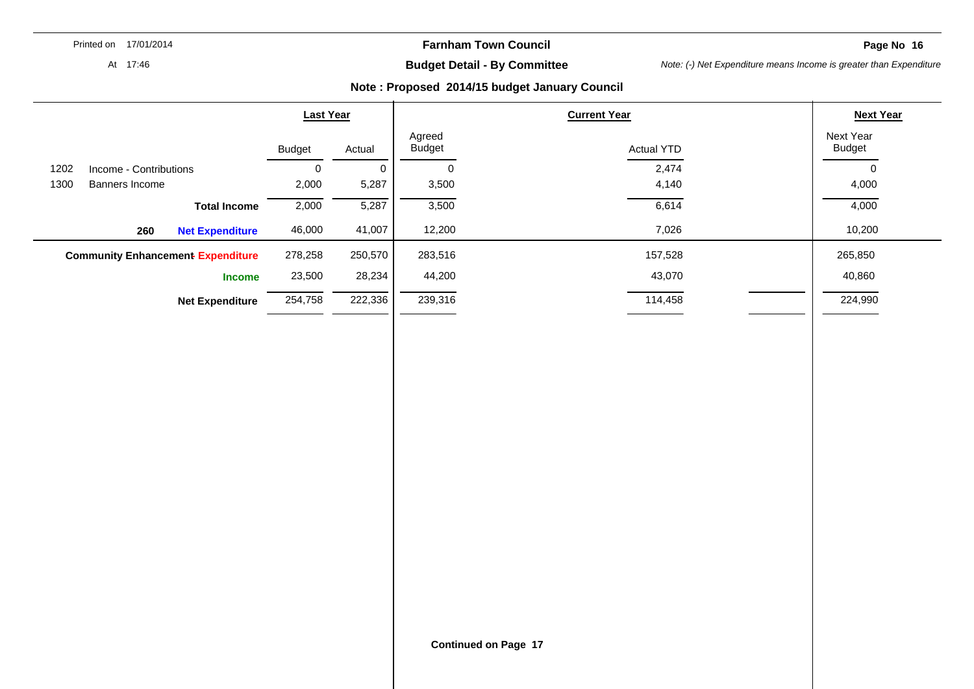**Farnham Town Council** 

**Page No 16** 

At 17:46

**Budget Detail - By Committee** 

*Note: (-) Net Expenditure means Income is greater than Expenditure* 

|      |                                          | <b>Last Year</b> |         |                         | <b>Next Year</b>  |                            |
|------|------------------------------------------|------------------|---------|-------------------------|-------------------|----------------------------|
|      |                                          | <b>Budget</b>    | Actual  | Agreed<br><b>Budget</b> | <b>Actual YTD</b> | Next Year<br><b>Budget</b> |
| 1202 | Income - Contributions                   | 0                | 0       | 0                       | 2,474             |                            |
| 1300 | Banners Income                           | 2,000            | 5,287   | 3,500                   | 4,140             | 4,000                      |
|      | <b>Total Income</b>                      | 2,000            | 5,287   | 3,500                   | 6,614             | 4,000                      |
|      | 260<br><b>Net Expenditure</b>            | 46,000           | 41,007  | 12,200                  | 7,026             | 10,200                     |
|      | <b>Community Enhancement Expenditure</b> | 278,258          | 250,570 | 283,516                 | 157,528           | 265,850                    |
|      | <b>Income</b>                            | 23,500           | 28,234  | 44,200                  | 43,070            | 40,860                     |
|      | <b>Net Expenditure</b>                   | 254,758          | 222,336 | 239,316                 | 114,458           | 224,990                    |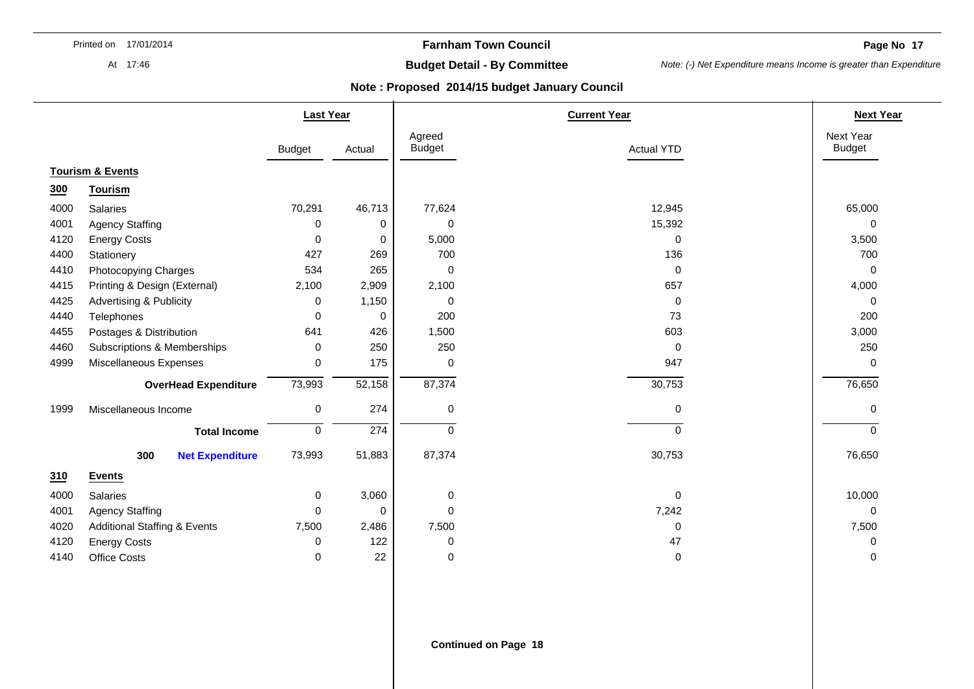At 17:46

## **Farnham Town Council**

**Page No. 17**  $\blacksquare$ 

# **Budget Detail - By Committee**

*Note: (-) Net Expenditure means Income is greater than Expenditure* 

|      |                                         | <b>Last Year</b> |             |                         | <b>Current Year</b> | <b>Next Year</b>           |
|------|-----------------------------------------|------------------|-------------|-------------------------|---------------------|----------------------------|
|      |                                         | <b>Budget</b>    | Actual      | Agreed<br><b>Budget</b> | <b>Actual YTD</b>   | Next Year<br><b>Budget</b> |
|      | <b>Tourism &amp; Events</b>             |                  |             |                         |                     |                            |
| 300  | <b>Tourism</b>                          |                  |             |                         |                     |                            |
| 4000 | Salaries                                | 70,291           | 46,713      | 77,624                  | 12,945              | 65,000                     |
| 4001 | <b>Agency Staffing</b>                  | 0                | 0           | 0                       | 15,392              | $\Omega$                   |
| 4120 | <b>Energy Costs</b>                     | 0                | 0           | 5,000                   | 0                   | 3,500                      |
| 4400 | Stationery                              | 427              | 269         | 700                     | 136                 | 700                        |
| 4410 | Photocopying Charges                    | 534              | 265         | 0                       | $\pmb{0}$           | 0                          |
| 4415 | Printing & Design (External)            | 2,100            | 2,909       | 2,100                   | 657                 | 4,000                      |
| 4425 | <b>Advertising &amp; Publicity</b>      | $\mathbf 0$      | 1,150       | 0                       | 0                   | 0                          |
| 4440 | Telephones                              | $\mathbf{0}$     | 0           | 200                     | 73                  | 200                        |
| 4455 | Postages & Distribution                 | 641              | 426         | 1,500                   | 603                 | 3,000                      |
| 4460 | Subscriptions & Memberships             | 0                | 250         | 250                     | 0                   | 250                        |
| 4999 | Miscellaneous Expenses                  | $\mathbf 0$      | 175         | 0                       | 947                 | $\mathbf 0$                |
|      | <b>OverHead Expenditure</b>             | 73,993           | 52,158      | 87,374                  | 30,753              | 76,650                     |
| 1999 | Miscellaneous Income                    | 0                | 274         | 0                       | $\pmb{0}$           | 0                          |
|      | <b>Total Income</b>                     | $\mathbf 0$      | 274         | 0                       | $\mathbf 0$         | $\Omega$                   |
|      | 300<br><b>Net Expenditure</b>           | 73,993           | 51,883      | 87,374                  | 30,753              | 76,650                     |
| 310  | <b>Events</b>                           |                  |             |                         |                     |                            |
| 4000 | Salaries                                | $\mathbf 0$      | 3,060       | 0                       | 0                   | 10,000                     |
| 4001 | <b>Agency Staffing</b>                  | 0                | $\mathbf 0$ | 0                       | 7,242               | $\mathbf 0$                |
| 4020 | <b>Additional Staffing &amp; Events</b> | 7,500            | 2,486       | 7,500                   | 0                   | 7,500                      |
| 4120 | <b>Energy Costs</b>                     | 0                | 122         | 0                       | 47                  | 0                          |
| 4140 | <b>Office Costs</b>                     | $\mathbf 0$      | 22          | 0                       | $\pmb{0}$           | $\mathbf 0$                |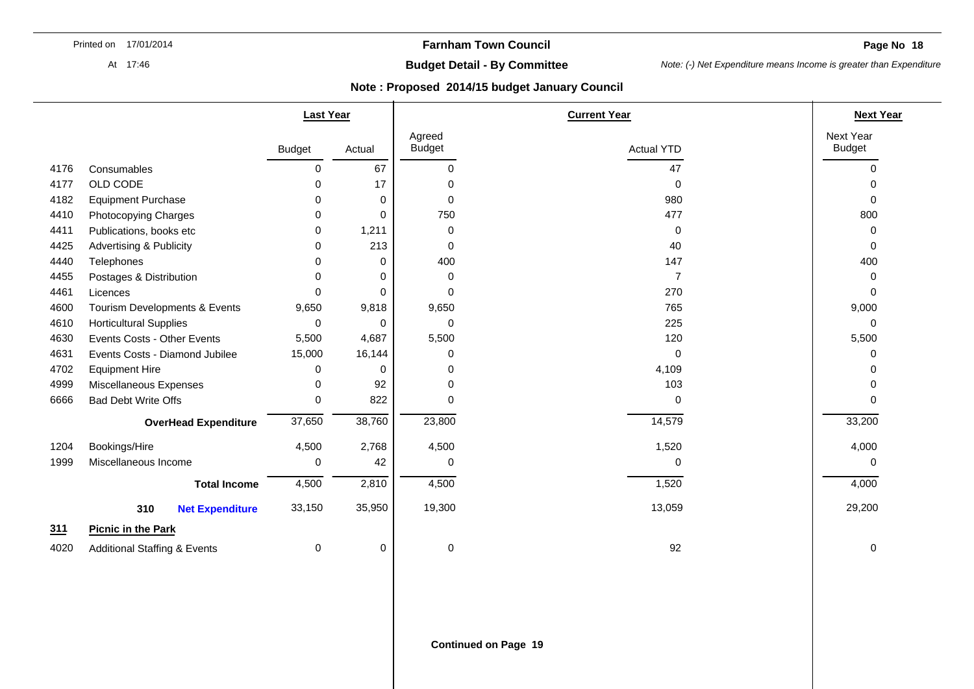**Page No 18** 

At 17:46

# **Budget Detail - By Committee**

*Note: (-) Net Expenditure means Income is greater than Expenditure* 

|      |                                         | <b>Last Year</b> |          |                         | <b>Current Year</b> | <b>Next Year</b>           |
|------|-----------------------------------------|------------------|----------|-------------------------|---------------------|----------------------------|
|      |                                         | <b>Budget</b>    | Actual   | Agreed<br><b>Budget</b> | <b>Actual YTD</b>   | Next Year<br><b>Budget</b> |
| 4176 | Consumables                             | 0                | 67       | 0                       | 47                  | $\Omega$                   |
| 4177 | OLD CODE                                | $\Omega$         | 17       | 0                       | 0                   |                            |
| 4182 | <b>Equipment Purchase</b>               | 0                | $\Omega$ | $\mathbf 0$             | 980                 | $\Omega$                   |
| 4410 | Photocopying Charges                    | 0                | $\Omega$ | 750                     | 477                 | 800                        |
| 4411 | Publications, books etc                 | 0                | 1,211    | 0                       | 0                   |                            |
| 4425 | <b>Advertising &amp; Publicity</b>      | 0                | 213      | 0                       | 40                  | $\Omega$                   |
| 4440 | Telephones                              | 0                | 0        | 400                     | 147                 | 400                        |
| 4455 | Postages & Distribution                 | $\Omega$         | 0        | 0                       | $\overline{7}$      | ∩                          |
| 4461 | Licences                                | $\Omega$         | $\Omega$ | 0                       | 270                 | $\Omega$                   |
| 4600 | Tourism Developments & Events           | 9,650            | 9,818    | 9,650                   | 765                 | 9,000                      |
| 4610 | <b>Horticultural Supplies</b>           | 0                | $\Omega$ | 0                       | 225                 | $\Omega$                   |
| 4630 | Events Costs - Other Events             | 5,500            | 4,687    | 5,500                   | 120                 | 5,500                      |
| 4631 | Events Costs - Diamond Jubilee          | 15,000           | 16,144   | 0                       | $\mathbf 0$         | ∩                          |
| 4702 | <b>Equipment Hire</b>                   | 0                | 0        | 0                       | 4,109               |                            |
| 4999 | Miscellaneous Expenses                  | $\Omega$         | 92       | $\Omega$                | 103                 |                            |
| 6666 | <b>Bad Debt Write Offs</b>              | 0                | 822      | $\Omega$                | 0                   |                            |
|      | <b>OverHead Expenditure</b>             | 37,650           | 38,760   | 23,800                  | 14,579              | 33,200                     |
| 1204 | Bookings/Hire                           | 4,500            | 2,768    | 4,500                   | 1,520               | 4,000                      |
| 1999 | Miscellaneous Income                    | 0                | 42       | 0                       | 0                   | ∩                          |
|      | <b>Total Income</b>                     | 4,500            | 2,810    | 4,500                   | 1,520               | 4,000                      |
|      | 310<br><b>Net Expenditure</b>           | 33,150           | 35,950   | 19,300                  | 13,059              | 29,200                     |
| 311  | <b>Picnic in the Park</b>               |                  |          |                         |                     |                            |
| 4020 | <b>Additional Staffing &amp; Events</b> | 0                | 0        | 0                       | 92                  | 0                          |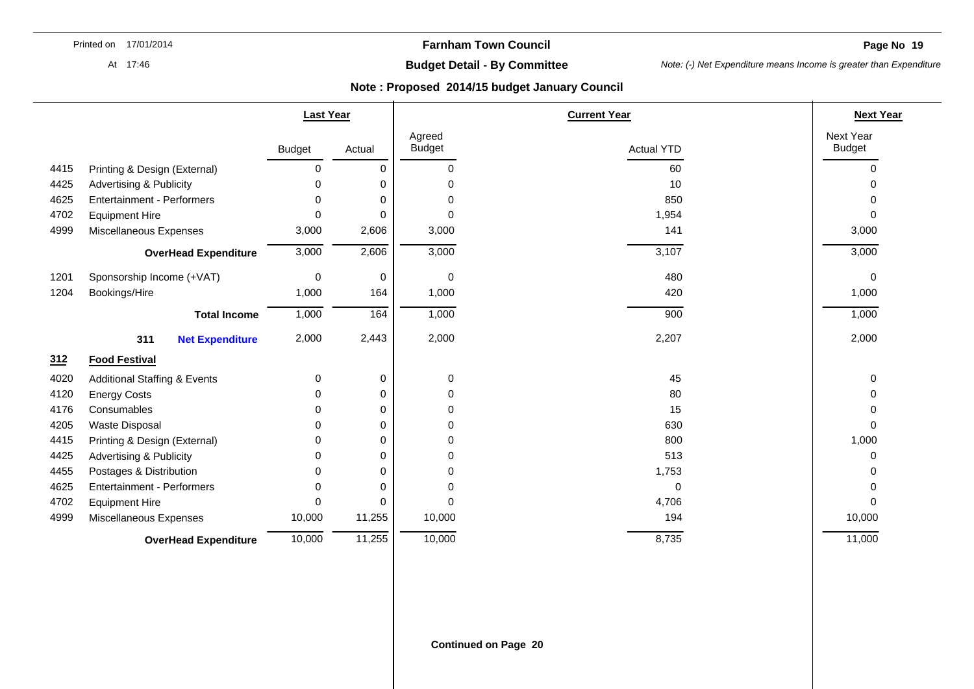**Page No 19** 

At 17:46

# **Budget Detail - By Committee**

*Note: (-) Net Expenditure means Income is greater than Expenditure* 

|      |                                         | <b>Last Year</b> |          |                         | <b>Current Year</b> |                            |
|------|-----------------------------------------|------------------|----------|-------------------------|---------------------|----------------------------|
|      |                                         | <b>Budget</b>    | Actual   | Agreed<br><b>Budget</b> | <b>Actual YTD</b>   | Next Year<br><b>Budget</b> |
| 4415 | Printing & Design (External)            | 0                | 0        | 0                       | 60                  | $\Omega$                   |
| 4425 | <b>Advertising &amp; Publicity</b>      | O                | 0        | $\Omega$                | 10                  | <sup>0</sup>               |
| 4625 | <b>Entertainment - Performers</b>       | 0                | 0        | 0                       | 850                 |                            |
| 4702 | <b>Equipment Hire</b>                   | $\Omega$         | $\Omega$ | 0                       | 1,954               | $\Omega$                   |
| 4999 | Miscellaneous Expenses                  | 3,000            | 2,606    | 3,000                   | 141                 | 3,000                      |
|      | <b>OverHead Expenditure</b>             | 3,000            | 2,606    | 3,000                   | 3,107               | 3,000                      |
| 1201 | Sponsorship Income (+VAT)               | 0                | 0        | 0                       | 480                 | 0                          |
| 1204 | Bookings/Hire                           | 1,000            | 164      | 1,000                   | 420                 | 1,000                      |
|      | <b>Total Income</b>                     | 1,000            | 164      | 1,000                   | 900                 | 1,000                      |
|      | 311<br><b>Net Expenditure</b>           | 2,000            | 2,443    | 2,000                   | 2,207               | 2,000                      |
| 312  | <b>Food Festival</b>                    |                  |          |                         |                     |                            |
| 4020 | <b>Additional Staffing &amp; Events</b> | 0                | 0        | 0                       | 45                  | 0                          |
| 4120 | <b>Energy Costs</b>                     | 0                | 0        | 0                       | 80                  | $\Omega$                   |
| 4176 | Consumables                             | 0                | 0        | 0                       | 15                  | n                          |
| 4205 | Waste Disposal                          | 0                | 0        | 0                       | 630                 | $\Omega$                   |
| 4415 | Printing & Design (External)            | 0                | 0        | 0                       | 800                 | 1,000                      |
| 4425 | <b>Advertising &amp; Publicity</b>      | O                | 0        | 0                       | 513                 | 0                          |
| 4455 | Postages & Distribution                 | 0                | 0        | 0                       | 1,753               | ∩                          |
| 4625 | <b>Entertainment - Performers</b>       | $\Omega$         | 0        | 0                       | 0                   | ∩                          |
| 4702 | <b>Equipment Hire</b>                   | $\Omega$         | 0        | $\Omega$                | 4,706               | $\Omega$                   |
| 4999 | Miscellaneous Expenses                  | 10,000           | 11,255   | 10,000                  | 194                 | 10,000                     |
|      | <b>OverHead Expenditure</b>             | 10,000           | 11,255   | 10,000                  | 8,735               | 11,000                     |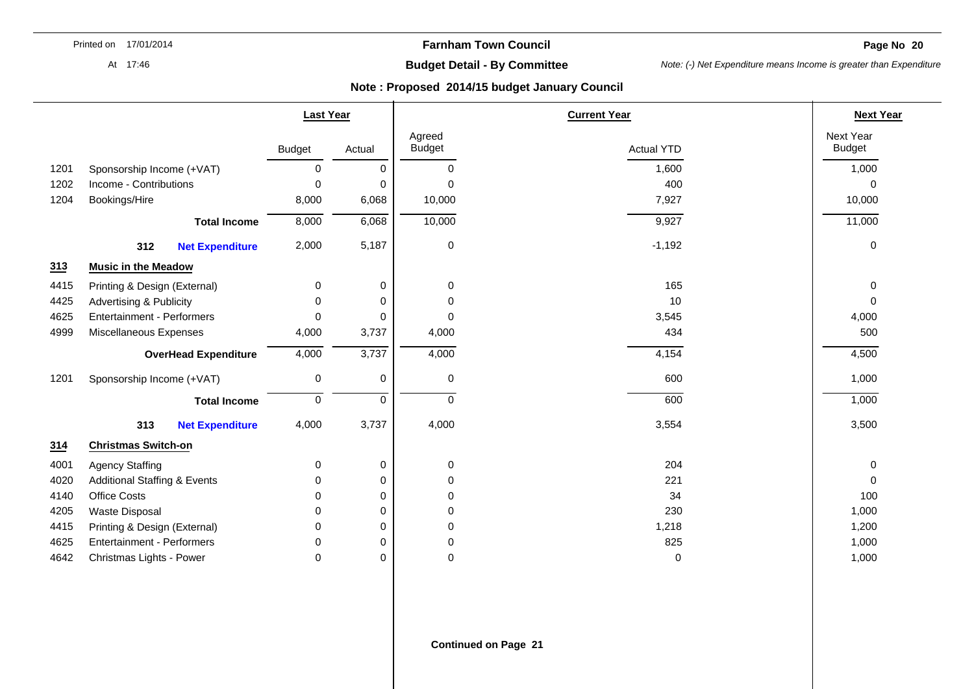**Farnham Town Council** 

**Page No 20** 

At 17:46

# **Budget Detail - By Committee**

*Note: (-) Net Expenditure means Income is greater than Expenditure* 

|      |                                         | <b>Last Year</b> |        |                         | <b>Current Year</b> | <b>Next Year</b>           |
|------|-----------------------------------------|------------------|--------|-------------------------|---------------------|----------------------------|
|      |                                         | <b>Budget</b>    | Actual | Agreed<br><b>Budget</b> | <b>Actual YTD</b>   | Next Year<br><b>Budget</b> |
| 1201 | Sponsorship Income (+VAT)               | 0                | 0      | 0                       | 1,600               | 1,000                      |
| 1202 | Income - Contributions                  | $\mathbf 0$      | 0      | $\Omega$                | 400                 | $\Omega$                   |
| 1204 | Bookings/Hire                           | 8,000            | 6,068  | 10,000                  | 7,927               | 10,000                     |
|      | <b>Total Income</b>                     | 8,000            | 6,068  | 10,000                  | 9,927               | 11,000                     |
|      | 312<br><b>Net Expenditure</b>           | 2,000            | 5,187  | 0                       | $-1,192$            | 0                          |
| 313  | <b>Music in the Meadow</b>              |                  |        |                         |                     |                            |
| 4415 | Printing & Design (External)            | 0                | 0      | 0                       | 165                 | 0                          |
| 4425 | <b>Advertising &amp; Publicity</b>      | $\Omega$         | 0      | 0                       | 10                  | $\Omega$                   |
| 4625 | <b>Entertainment - Performers</b>       | 0                | 0      | 0                       | 3,545               | 4,000                      |
| 4999 | Miscellaneous Expenses                  | 4,000            | 3,737  | 4,000                   | 434                 | 500                        |
|      | <b>OverHead Expenditure</b>             | 4,000            | 3,737  | 4,000                   | 4,154               | 4,500                      |
| 1201 | Sponsorship Income (+VAT)               | $\mathbf 0$      | 0      | 0                       | 600                 | 1,000                      |
|      | <b>Total Income</b>                     | $\pmb{0}$        | 0      | 0                       | 600                 | 1,000                      |
|      | 313<br><b>Net Expenditure</b>           | 4,000            | 3,737  | 4,000                   | 3,554               | 3,500                      |
| 314  | <b>Christmas Switch-on</b>              |                  |        |                         |                     |                            |
| 4001 | <b>Agency Staffing</b>                  | 0                | 0      | 0                       | 204                 | 0                          |
| 4020 | <b>Additional Staffing &amp; Events</b> | 0                | 0      | 0                       | 221                 | 0                          |
| 4140 | <b>Office Costs</b>                     | $\Omega$         | 0      | 0                       | 34                  | 100                        |
| 4205 | <b>Waste Disposal</b>                   | 0                | 0      | 0                       | 230                 | 1,000                      |
| 4415 | Printing & Design (External)            | $\Omega$         | 0      | 0                       | 1,218               | 1,200                      |
| 4625 | <b>Entertainment - Performers</b>       | $\Omega$         | 0      | 0                       | 825                 | 1,000                      |
| 4642 | Christmas Lights - Power                | 0                | 0      | 0                       | $\mathbf 0$         | 1,000                      |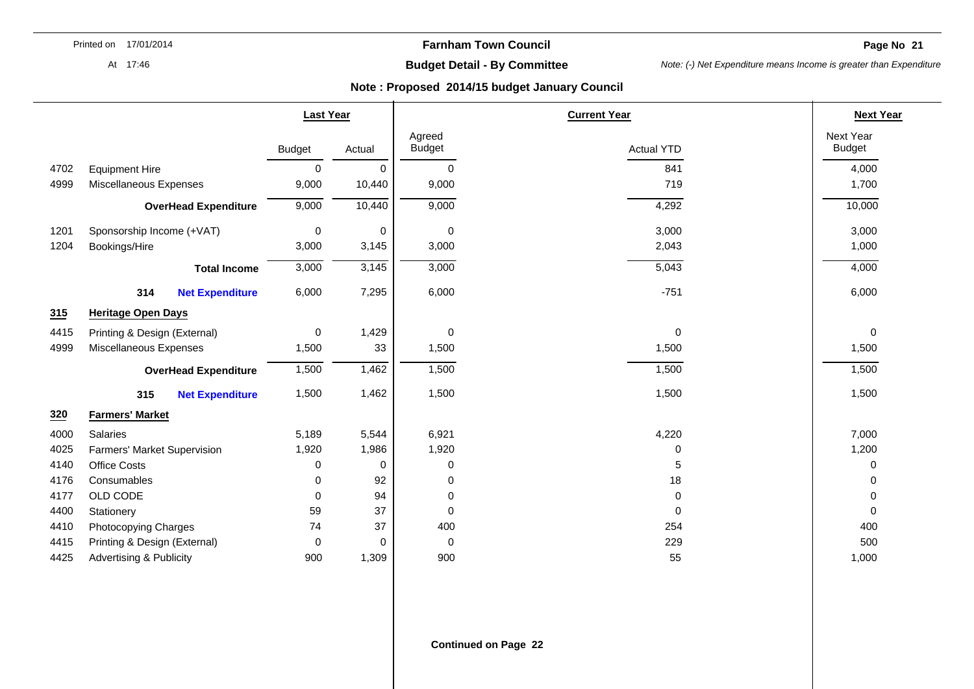**Farnham Town Council** 

**Page No 21** 

At 17:46

# **Budget Detail - By Committee**

*Note: (-) Net Expenditure means Income is greater than Expenditure* 

|      |                                    | <b>Last Year</b> |          |                         | <b>Current Year</b> | <b>Next Year</b>           |
|------|------------------------------------|------------------|----------|-------------------------|---------------------|----------------------------|
|      |                                    | <b>Budget</b>    | Actual   | Agreed<br><b>Budget</b> | <b>Actual YTD</b>   | Next Year<br><b>Budget</b> |
| 4702 | <b>Equipment Hire</b>              | 0                | 0        | 0                       | 841                 | 4,000                      |
| 4999 | Miscellaneous Expenses             | 9,000            | 10,440   | 9,000                   | 719                 | 1,700                      |
|      | <b>OverHead Expenditure</b>        | 9,000            | 10,440   | 9,000                   | 4,292               | 10,000                     |
| 1201 | Sponsorship Income (+VAT)          | $\mathbf 0$      | 0        | 0                       | 3,000               | 3,000                      |
| 1204 | Bookings/Hire                      | 3,000            | 3,145    | 3,000                   | 2,043               | 1,000                      |
|      | <b>Total Income</b>                | 3,000            | 3,145    | 3,000                   | 5,043               | 4,000                      |
|      | 314<br><b>Net Expenditure</b>      | 6,000            | 7,295    | 6,000                   | $-751$              | 6,000                      |
| 315  | <b>Heritage Open Days</b>          |                  |          |                         |                     |                            |
| 4415 | Printing & Design (External)       | 0                | 1,429    | 0                       | $\pmb{0}$           | 0                          |
| 4999 | Miscellaneous Expenses             | 1,500            | 33       | 1,500                   | 1,500               | 1,500                      |
|      | <b>OverHead Expenditure</b>        | 1,500            | 1,462    | 1,500                   | 1,500               | 1,500                      |
|      | 315<br><b>Net Expenditure</b>      | 1,500            | 1,462    | 1,500                   | 1,500               | 1,500                      |
| 320  | <b>Farmers' Market</b>             |                  |          |                         |                     |                            |
| 4000 | Salaries                           | 5,189            | 5,544    | 6,921                   | 4,220               | 7,000                      |
| 4025 | Farmers' Market Supervision        | 1,920            | 1,986    | 1,920                   | 0                   | 1,200                      |
| 4140 | <b>Office Costs</b>                | 0                | 0        | 0                       | 5                   | 0                          |
| 4176 | Consumables                        | 0                | 92       | 0                       | 18                  | $\Omega$                   |
| 4177 | OLD CODE                           | $\Omega$         | 94       | 0                       | 0                   | $\Omega$                   |
| 4400 | Stationery                         | 59               | 37       | 0                       | $\pmb{0}$           | $\mathbf 0$                |
| 4410 | Photocopying Charges               | 74               | 37       | 400                     | 254                 | 400                        |
| 4415 | Printing & Design (External)       | 0                | $\Omega$ | 0                       | 229                 | 500                        |
| 4425 | <b>Advertising &amp; Publicity</b> | 900              | 1,309    | 900                     | 55                  | 1,000                      |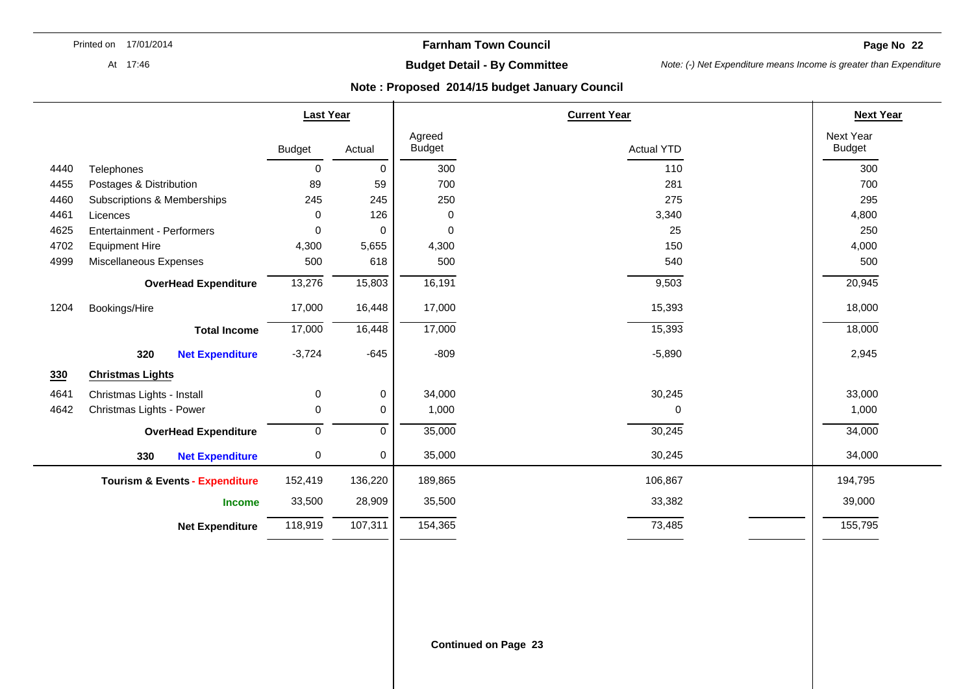**Page No 22** 

At 17:46

# **Budget Detail - By Committee**

*Note: (-) Net Expenditure means Income is greater than Expenditure* 

|      |                                           | <b>Last Year</b> |             |                         | <b>Current Year</b> | <b>Next Year</b>           |
|------|-------------------------------------------|------------------|-------------|-------------------------|---------------------|----------------------------|
|      |                                           | <b>Budget</b>    | Actual      | Agreed<br><b>Budget</b> | <b>Actual YTD</b>   | Next Year<br><b>Budget</b> |
| 4440 | Telephones                                | $\mathbf 0$      | 0           | 300                     | 110                 | 300                        |
| 4455 | Postages & Distribution                   | 89               | 59          | 700                     | 281                 | 700                        |
| 4460 | Subscriptions & Memberships               | 245              | 245         | 250                     | 275                 | 295                        |
| 4461 | Licences                                  | 0                | 126         | 0                       | 3,340               | 4,800                      |
| 4625 | Entertainment - Performers                | 0                | 0           | $\mathbf 0$             | 25                  | 250                        |
| 4702 | <b>Equipment Hire</b>                     | 4,300            | 5,655       | 4,300                   | 150                 | 4,000                      |
| 4999 | Miscellaneous Expenses                    | 500              | 618         | 500                     | 540                 | 500                        |
|      | <b>OverHead Expenditure</b>               | 13,276           | 15,803      | 16,191                  | 9,503               | 20,945                     |
| 1204 | Bookings/Hire                             | 17,000           | 16,448      | 17,000                  | 15,393              | 18,000                     |
|      | <b>Total Income</b>                       | 17,000           | 16,448      | 17,000                  | 15,393              | 18,000                     |
|      | 320<br><b>Net Expenditure</b>             | $-3,724$         | $-645$      | $-809$                  | $-5,890$            | 2,945                      |
| 330  | <b>Christmas Lights</b>                   |                  |             |                         |                     |                            |
| 4641 | Christmas Lights - Install                | 0                | $\pmb{0}$   | 34,000                  | 30,245              | 33,000                     |
| 4642 | Christmas Lights - Power                  | 0                | 0           | 1,000                   | $\Omega$            | 1,000                      |
|      | <b>OverHead Expenditure</b>               | $\mathbf 0$      | $\mathbf 0$ | 35,000                  | 30,245              | 34,000                     |
|      | 330<br><b>Net Expenditure</b>             | 0                | 0           | 35,000                  | 30,245              | 34,000                     |
|      | <b>Tourism &amp; Events - Expenditure</b> | 152,419          | 136,220     | 189,865                 | 106,867             | 194,795                    |
|      | <b>Income</b>                             | 33,500           | 28,909      | 35,500                  | 33,382              | 39,000                     |
|      | <b>Net Expenditure</b>                    | 118,919          | 107,311     | 154,365                 | 73,485              | 155,795                    |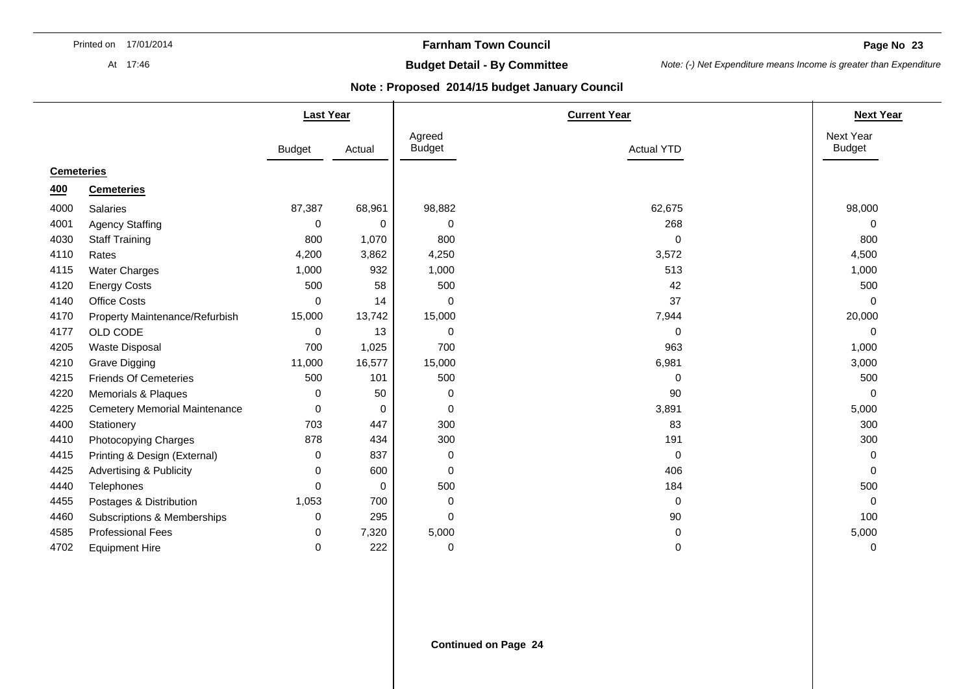At 17:46

## **Farnham Town Council**

**Page No 23** 

# **Budget Detail - By Committee**

*Note: (-) Net Expenditure means Income is greater than Expenditure* 

|                   |                                      | <b>Last Year</b> |             |                         | <b>Current Year</b> | <b>Next Year</b>           |
|-------------------|--------------------------------------|------------------|-------------|-------------------------|---------------------|----------------------------|
|                   |                                      | <b>Budget</b>    | Actual      | Agreed<br><b>Budget</b> | <b>Actual YTD</b>   | Next Year<br><b>Budget</b> |
| <b>Cemeteries</b> |                                      |                  |             |                         |                     |                            |
| 400               | <b>Cemeteries</b>                    |                  |             |                         |                     |                            |
| 4000              | <b>Salaries</b>                      | 87,387           | 68,961      | 98,882                  | 62,675              | 98,000                     |
| 4001              | <b>Agency Staffing</b>               | 0                | 0           | 0                       | 268                 | 0                          |
| 4030              | <b>Staff Training</b>                | 800              | 1,070       | 800                     | $\mathbf 0$         | 800                        |
| 4110              | Rates                                | 4,200            | 3,862       | 4,250                   | 3,572               | 4,500                      |
| 4115              | <b>Water Charges</b>                 | 1,000            | 932         | 1,000                   | 513                 | 1,000                      |
| 4120              | <b>Energy Costs</b>                  | 500              | 58          | 500                     | 42                  | 500                        |
| 4140              | <b>Office Costs</b>                  | 0                | 14          | 0                       | 37                  | 0                          |
| 4170              | Property Maintenance/Refurbish       | 15,000           | 13,742      | 15,000                  | 7,944               | 20,000                     |
| 4177              | OLD CODE                             | 0                | 13          | 0                       | $\mathbf 0$         | 0                          |
| 4205              | <b>Waste Disposal</b>                | 700              | 1,025       | 700                     | 963                 | 1,000                      |
| 4210              | <b>Grave Digging</b>                 | 11,000           | 16,577      | 15,000                  | 6,981               | 3,000                      |
| 4215              | <b>Friends Of Cemeteries</b>         | 500              | 101         | 500                     | 0                   | 500                        |
| 4220              | <b>Memorials &amp; Plaques</b>       | 0                | 50          | 0                       | 90                  | 0                          |
| 4225              | <b>Cemetery Memorial Maintenance</b> | 0                | 0           | 0                       | 3,891               | 5,000                      |
| 4400              | Stationery                           | 703              | 447         | 300                     | 83                  | 300                        |
| 4410              | Photocopying Charges                 | 878              | 434         | 300                     | 191                 | 300                        |
| 4415              | Printing & Design (External)         | 0                | 837         | 0                       | $\mathbf 0$         | 0                          |
| 4425              | Advertising & Publicity              | 0                | 600         | 0                       | 406                 | $\Omega$                   |
| 4440              | Telephones                           | $\Omega$         | $\mathbf 0$ | 500                     | 184                 | 500                        |
| 4455              | Postages & Distribution              | 1,053            | 700         | 0                       | $\mathbf 0$         | 0                          |
| 4460              | Subscriptions & Memberships          | 0                | 295         | 0                       | 90                  | 100                        |
| 4585              | <b>Professional Fees</b>             | 0                | 7,320       | 5,000                   | 0                   | 5,000                      |
| 4702              | <b>Equipment Hire</b>                | 0                | 222         | 0                       | 0                   | 0                          |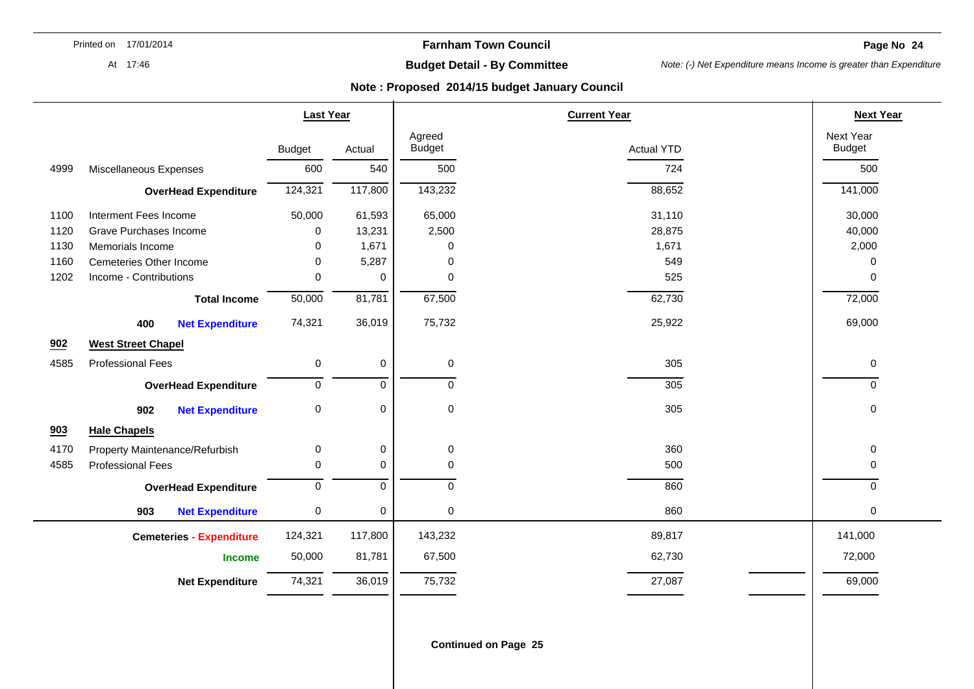**Farnham Town Council** 

**Page No 24** 

At 17:46

# **Budget Detail - By Committee**

*Note: (-) Net Expenditure means Income is greater than Expenditure* 

### **Note : Proposed 2014/15 budget January Council**

|      |                                 | <b>Last Year</b> |                      |                         | <b>Current Year</b> | <b>Next Year</b>           |
|------|---------------------------------|------------------|----------------------|-------------------------|---------------------|----------------------------|
|      |                                 | <b>Budget</b>    | Actual               | Agreed<br><b>Budget</b> | <b>Actual YTD</b>   | Next Year<br><b>Budget</b> |
| 4999 | Miscellaneous Expenses          | 600              | 540                  | 500                     | 724                 | 500                        |
|      | <b>OverHead Expenditure</b>     | 124,321          | $\overline{117,800}$ | 143,232                 | 88,652              | 141,000                    |
| 1100 | Interment Fees Income           | 50,000           | 61,593               | 65,000                  | 31,110              | 30,000                     |
| 1120 | Grave Purchases Income          | 0                | 13,231               | 2,500                   | 28,875              | 40,000                     |
| 1130 | Memorials Income                | 0                | 1,671                | 0                       | 1,671               | 2,000                      |
| 1160 | Cemeteries Other Income         | $\Omega$         | 5,287                | 0                       | 549                 | 0                          |
| 1202 | Income - Contributions          | 0                | $\mathbf 0$          | 0                       | 525                 | $\Omega$                   |
|      | <b>Total Income</b>             | 50,000           | 81,781               | 67,500                  | 62,730              | 72,000                     |
|      | 400<br><b>Net Expenditure</b>   | 74,321           | 36,019               | 75,732                  | 25,922              | 69,000                     |
| 902  | <b>West Street Chapel</b>       |                  |                      |                         |                     |                            |
| 4585 | <b>Professional Fees</b>        | 0                | 0                    | 0                       | 305                 | 0                          |
|      | <b>OverHead Expenditure</b>     | 0                | $\mathbf 0$          | $\mathbf 0$             | 305                 | $\Omega$                   |
|      | 902<br><b>Net Expenditure</b>   | $\pmb{0}$        | 0                    | 0                       | 305                 | 0                          |
| 903  | <b>Hale Chapels</b>             |                  |                      |                         |                     |                            |
| 4170 | Property Maintenance/Refurbish  | $\mathbf 0$      | 0                    | 0                       | 360                 | $\Omega$                   |
| 4585 | <b>Professional Fees</b>        | 0                | 0                    | 0                       | 500                 | $\Omega$                   |
|      | <b>OverHead Expenditure</b>     | 0                | $\mathbf 0$          | $\mathbf 0$             | 860                 | $\Omega$                   |
|      | 903<br><b>Net Expenditure</b>   | $\pmb{0}$        | $\pmb{0}$            | $\pmb{0}$               | 860                 | $\Omega$                   |
|      | <b>Cemeteries - Expenditure</b> | 124,321          | 117,800              | 143,232                 | 89,817              | 141,000                    |
|      | <b>Income</b>                   | 50,000           | 81,781               | 67,500                  | 62,730              | 72,000                     |
|      | <b>Net Expenditure</b>          | 74,321           | 36,019               | 75,732                  | 27,087              | 69,000                     |
|      |                                 |                  |                      |                         |                     |                            |

**Continued on Page 25**